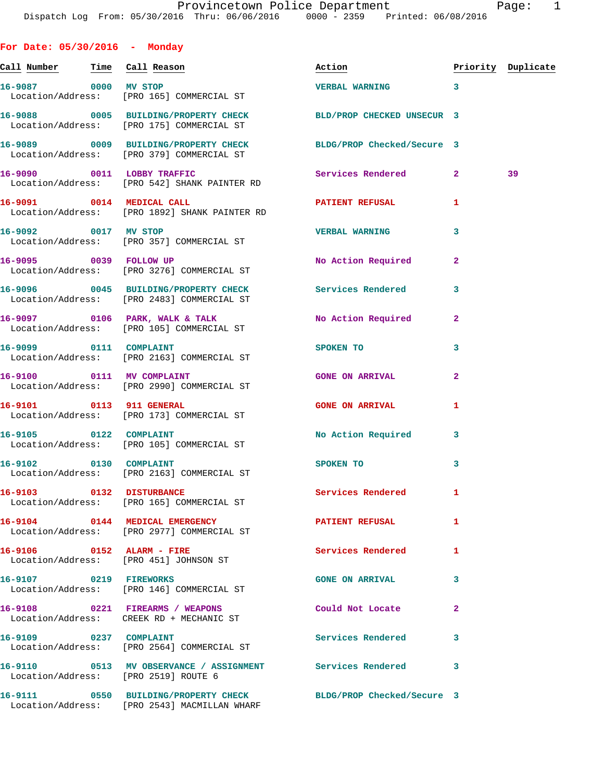| For Date: $05/30/2016$ - Monday       |                                                                                                      |                            |              |                    |
|---------------------------------------|------------------------------------------------------------------------------------------------------|----------------------------|--------------|--------------------|
| <u>Call Number — Time Call Reason</u> |                                                                                                      | Action                     |              | Priority Duplicate |
| 16-9087 0000 MV STOP                  | Location/Address: [PRO 165] COMMERCIAL ST                                                            | <b>VERBAL WARNING</b>      | 3            |                    |
|                                       | 16-9088 0005 BUILDING/PROPERTY CHECK<br>Location/Address: [PRO 175] COMMERCIAL ST                    | BLD/PROP CHECKED UNSECUR 3 |              |                    |
|                                       | 16-9089 0009 BUILDING/PROPERTY CHECK<br>Location/Address: [PRO 379] COMMERCIAL ST                    | BLDG/PROP Checked/Secure 3 |              |                    |
|                                       | 16-9090 0011 LOBBY TRAFFIC<br>Location/Address: [PRO 542] SHANK PAINTER RD                           | Services Rendered 2        |              | 39                 |
|                                       | 16-9091 0014 MEDICAL CALL<br>Location/Address: [PRO 1892] SHANK PAINTER RD                           | <b>PATIENT REFUSAL</b>     | 1            |                    |
| 16-9092 0017 MV STOP                  | Location/Address: [PRO 357] COMMERCIAL ST                                                            | <b>VERBAL WARNING</b>      | 3            |                    |
|                                       | 16-9095 0039 FOLLOW UP<br>Location/Address: [PRO 3276] COMMERCIAL ST                                 | No Action Required         | $\mathbf{2}$ |                    |
|                                       | 16-9096 0045 BUILDING/PROPERTY CHECK Services Rendered<br>Location/Address: [PRO 2483] COMMERCIAL ST |                            | 3            |                    |
|                                       | 16-9097 0106 PARK, WALK & TALK<br>Location/Address: [PRO 105] COMMERCIAL ST                          | No Action Required         | 2            |                    |
| 16-9099 0111 COMPLAINT                | Location/Address: [PRO 2163] COMMERCIAL ST                                                           | SPOKEN TO                  | 3            |                    |
|                                       | 16-9100 0111 MV COMPLAINT<br>Location/Address: [PRO 2990] COMMERCIAL ST                              | <b>GONE ON ARRIVAL</b>     | $\mathbf{2}$ |                    |
| 16-9101 0113 911 GENERAL              | Location/Address: [PRO 173] COMMERCIAL ST                                                            | <b>GONE ON ARRIVAL</b>     | 1            |                    |
|                                       | 16-9105 0122 COMPLAINT<br>Location/Address: [PRO 105] COMMERCIAL ST                                  | No Action Required 3       |              |                    |
| 16-9102 0130 COMPLAINT                | Location/Address: [PRO 2163] COMMERCIAL ST                                                           | SPOKEN TO                  | 3            |                    |
|                                       | 16-9103 0132 DISTURBANCE<br>Location/Address: [PRO 165] COMMERCIAL ST                                | Services Rendered          | 1            |                    |
|                                       | 16-9104 0144 MEDICAL EMERGENCY<br>Location/Address: [PRO 2977] COMMERCIAL ST                         | PATIENT REFUSAL            | 1            |                    |
|                                       | 16-9106 0152 ALARM - FIRE<br>Location/Address: [PRO 451] JOHNSON ST                                  | Services Rendered          | 1            |                    |
| 16-9107 0219 FIREWORKS                | Location/Address: [PRO 146] COMMERCIAL ST                                                            | <b>GONE ON ARRIVAL</b>     | 3            |                    |
|                                       | 16-9108 0221 FIREARMS / WEAPONS<br>Location/Address: CREEK RD + MECHANIC ST                          | Could Not Locate           | $\mathbf{2}$ |                    |
| 16-9109 0237 COMPLAINT                | Location/Address: [PRO 2564] COMMERCIAL ST                                                           | Services Rendered          | 3            |                    |
| Location/Address: [PRO 2519] ROUTE 6  | 16-9110 0513 MV OBSERVANCE / ASSIGNMENT Services Rendered                                            |                            | 3            |                    |
|                                       | 16-9111 0550 BUILDING/PROPERTY CHECK<br>Location/Address: [PRO 2543] MACMILLAN WHARF                 | BLDG/PROP Checked/Secure 3 |              |                    |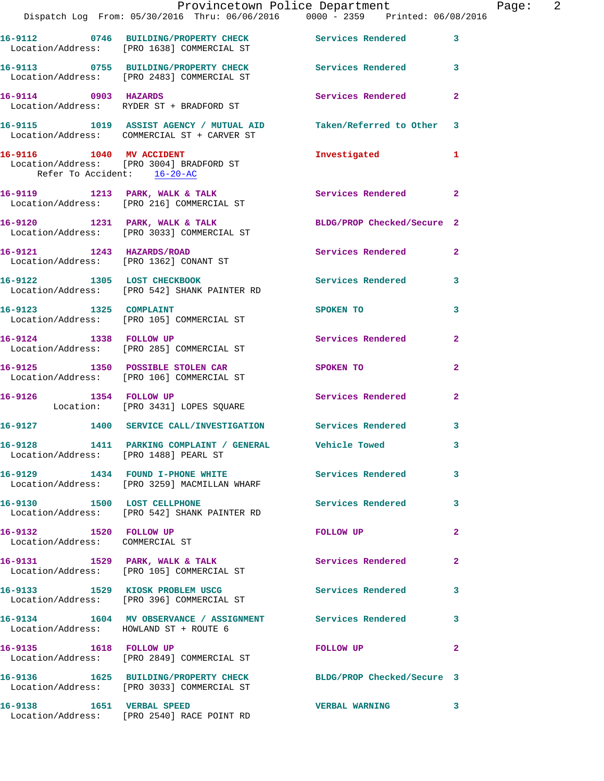|                                                           | Provincetown Police Department<br>Dispatch Log From: 05/30/2016 Thru: 06/06/2016 0000 - 2359 Printed: 06/08/2016 |                            |                         |
|-----------------------------------------------------------|------------------------------------------------------------------------------------------------------------------|----------------------------|-------------------------|
|                                                           |                                                                                                                  |                            |                         |
|                                                           | 16-9112 0746 BUILDING/PROPERTY CHECK Services Rendered<br>Location/Address: [PRO 1638] COMMERCIAL ST             |                            | 3                       |
|                                                           | 16-9113 0755 BUILDING/PROPERTY CHECK Services Rendered 3<br>Location/Address: [PRO 2483] COMMERCIAL ST           |                            |                         |
|                                                           | 16-9114 0903 HAZARDS<br>Location/Address: RYDER ST + BRADFORD ST                                                 | Services Rendered          | $\mathbf{2}$            |
|                                                           | 16-9115 1019 ASSIST AGENCY / MUTUAL AID Taken/Referred to Other<br>Location/Address: COMMERCIAL ST + CARVER ST   |                            | 3                       |
| Refer To Accident: 16-20-AC                               | 16-9116 1040 MV ACCIDENT<br>Location/Address: [PRO 3004] BRADFORD ST                                             | Investigated               | 1                       |
|                                                           | 16-9119 1213 PARK, WALK & TALK<br>Location/Address: [PRO 216] COMMERCIAL ST                                      | Services Rendered          | $\overline{2}$          |
|                                                           | 16-9120 1231 PARK, WALK & TALK<br>Location/Address: [PRO 3033] COMMERCIAL ST                                     | BLDG/PROP Checked/Secure 2 |                         |
|                                                           | 16-9121 1243 HAZARDS/ROAD<br>Location/Address: [PRO 1362] CONANT ST                                              | <b>Services Rendered</b>   | $\mathbf{2}$            |
|                                                           | 16-9122 1305 LOST CHECKBOOK<br>Location/Address: [PRO 542] SHANK PAINTER RD                                      | <b>Services Rendered</b>   | $\overline{\mathbf{3}}$ |
|                                                           | 16-9123 1325 COMPLAINT<br>Location/Address: [PRO 105] COMMERCIAL ST                                              | SPOKEN TO                  | 3                       |
| 16-9124 1338 FOLLOW UP                                    | Location/Address: [PRO 285] COMMERCIAL ST                                                                        | Services Rendered          | $\mathbf{2}$            |
|                                                           | 16-9125 1350 POSSIBLE STOLEN CAR<br>Location/Address: [PRO 106] COMMERCIAL ST                                    | SPOKEN TO                  | 2                       |
| 16-9126 1354 FOLLOW UP                                    | Location: [PRO 3431] LOPES SQUARE                                                                                | Services Rendered          | $\mathbf{2}$            |
|                                                           | 16-9127 1400 SERVICE CALL/INVESTIGATION Services Rendered                                                        |                            | 3                       |
| 16-9128<br>Location/Address: [PRO 1488] PEARL ST          | 1411 PARKING COMPLAINT / GENERAL                                                                                 | <b>Vehicle Towed</b>       | 3.                      |
|                                                           | 16-9129 1434 FOUND I-PHONE WHITE Services Rendered<br>Location/Address: [PRO 3259] MACMILLAN WHARF               |                            | 3                       |
| 16-9130 1500 LOST CELLPHONE                               | Location/Address: [PRO 542] SHANK PAINTER RD                                                                     | Services Rendered          | 3                       |
| 16-9132 1520 FOLLOW UP<br>Location/Address: COMMERCIAL ST |                                                                                                                  | FOLLOW UP                  | $\mathbf{2}$            |
|                                                           | 16-9131 1529 PARK, WALK & TALK<br>Location/Address: [PRO 105] COMMERCIAL ST                                      | Services Rendered          | $\mathbf{2}$            |
|                                                           | 16-9133 1529 KIOSK PROBLEM USCG<br>Location/Address: [PRO 396] COMMERCIAL ST                                     | Services Rendered          | 3                       |
| Location/Address: HOWLAND ST + ROUTE 6                    | 16-9134 1604 MV OBSERVANCE / ASSIGNMENT Services Rendered                                                        |                            | 3                       |
| 16-9135 1618 FOLLOW UP                                    | Location/Address: [PRO 2849] COMMERCIAL ST                                                                       | <b>FOLLOW UP</b>           | $\mathbf{2}$            |
|                                                           | 16-9136 1625 BUILDING/PROPERTY CHECK<br>Location/Address: [PRO 3033] COMMERCIAL ST                               | BLDG/PROP Checked/Secure 3 |                         |
|                                                           | 16-9138 1651 VERBAL SPEED<br>Location/Address: [PRO 2540] RACE POINT RD                                          | <b>VERBAL WARNING</b>      | 3                       |

Page: 2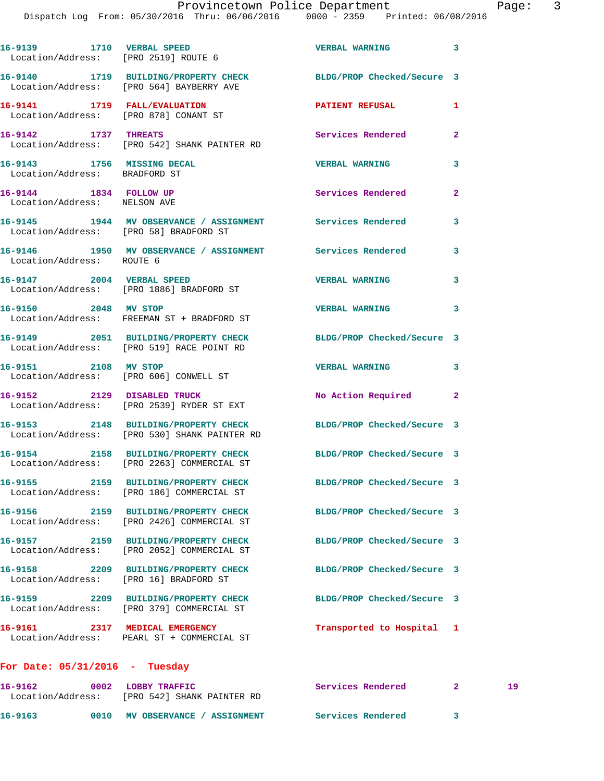Dispatch Log From: 05/30/2016 Thru: 06/06/2016 0000 - 2359 Printed: 06/08/2016 **16-9139 1710 VERBAL SPEED VERBAL WARNING 3**  Location/Address: [PRO 2519] ROUTE 6 **16-9140 1719 BUILDING/PROPERTY CHECK BLDG/PROP Checked/Secure 3**  Location/Address: [PRO 564] BAYBERRY AVE **16-9141 1719 FALL/EVALUATION PATIENT REFUSAL 1**  Location/Address: [PRO 878] CONANT ST **16-9142 1737 THREATS Services Rendered 2**  Location/Address: [PRO 542] SHANK PAINTER RD **16-9143 1756 MISSING DECAL VERBAL WARNING 3**  Location/Address: BRADFORD ST **16-9144** 1834 FOLLOW UP **1884 Services Rendered** 2 Location/Address: NELSON AVE **16-9145 1944 MV OBSERVANCE / ASSIGNMENT Services Rendered 3**  Location/Address: [PRO 58] BRADFORD ST **16-9146 1950 MV OBSERVANCE / ASSIGNMENT Services Rendered 3**  Location/Address: ROUTE 6 **16-9147 2004 VERBAL SPEED VERBAL WARNING 3**  Location/Address: [PRO 1886] BRADFORD ST **16-9150 2048 MV STOP VERBAL WARNING 3**  Location/Address: FREEMAN ST + BRADFORD ST **16-9149 2051 BUILDING/PROPERTY CHECK BLDG/PROP Checked/Secure 3**  Location/Address: [PRO 519] RACE POINT RD **16-9151 2108 MV STOP VERBAL WARNING 3**  Location/Address: [PRO 606] CONWELL ST **16-9152 2129 DISABLED TRUCK No Action Required 2**  Location/Address: [PRO 2539] RYDER ST EXT **16-9153 2148 BUILDING/PROPERTY CHECK BLDG/PROP Checked/Secure 3**  Location/Address: [PRO 530] SHANK PAINTER RD **16-9154 2158 BUILDING/PROPERTY CHECK BLDG/PROP Checked/Secure 3**  Location/Address: [PRO 2263] COMMERCIAL ST **16-9155 2159 BUILDING/PROPERTY CHECK BLDG/PROP Checked/Secure 3**  Location/Address: [PRO 186] COMMERCIAL ST **16-9156 2159 BUILDING/PROPERTY CHECK BLDG/PROP Checked/Secure 3**  Location/Address: [PRO 2426] COMMERCIAL ST **16-9157 2159 BUILDING/PROPERTY CHECK BLDG/PROP Checked/Secure 3**  Location/Address: [PRO 2052] COMMERCIAL ST **16-9158 2209 BUILDING/PROPERTY CHECK BLDG/PROP Checked/Secure 3**  Location/Address: [PRO 16] BRADFORD ST **16-9159 2209 BUILDING/PROPERTY CHECK BLDG/PROP Checked/Secure 3**  Location/Address: [PRO 379] COMMERCIAL ST **16-9161 2317 MEDICAL EMERGENCY Transported to Hospital 1**  Location/Address: PEARL ST + COMMERCIAL ST **For Date: 05/31/2016 - Tuesday**

**16-9162 0002 LOBBY TRAFFIC Services Rendered 2 19**  Location/Address: [PRO 542] SHANK PAINTER RD **16-9163 0010 MV OBSERVANCE / ASSIGNMENT Services Rendered 3**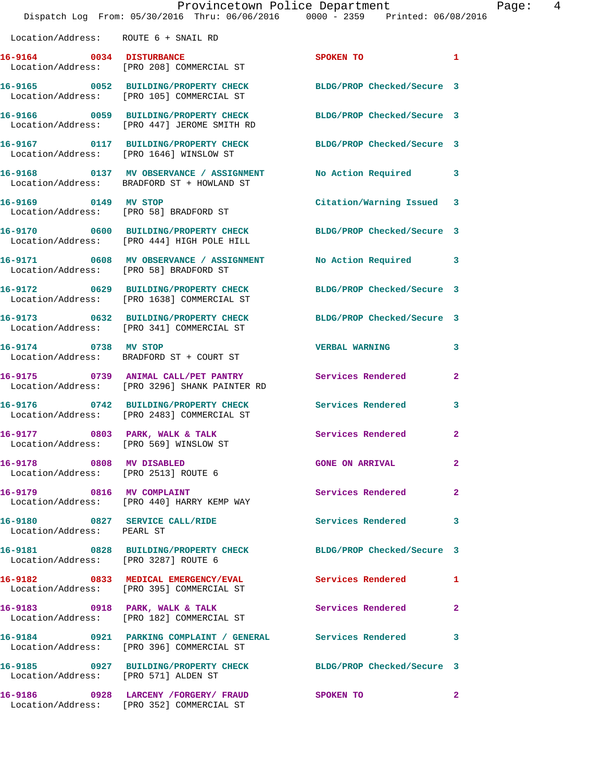|                                        | Provincetown Police Department<br>Dispatch Log From: 05/30/2016 Thru: 06/06/2016 0000 - 2359 Printed: 06/08/2016 |                            |                |
|----------------------------------------|------------------------------------------------------------------------------------------------------------------|----------------------------|----------------|
| Location/Address: ROUTE 6 + SNAIL RD   |                                                                                                                  |                            |                |
|                                        | 16-9164 0034 DISTURBANCE<br>Location/Address: [PRO 208] COMMERCIAL ST                                            | SPOKEN TO                  | 1              |
|                                        | 16-9165 0052 BUILDING/PROPERTY CHECK BLDG/PROP Checked/Secure 3<br>Location/Address: [PRO 105] COMMERCIAL ST     |                            |                |
|                                        | 16-9166 0059 BUILDING/PROPERTY CHECK<br>Location/Address: [PRO 447] JEROME SMITH RD                              | BLDG/PROP Checked/Secure 3 |                |
|                                        | 16-9167 0117 BUILDING/PROPERTY CHECK<br>Location/Address: [PRO 1646] WINSLOW ST                                  | BLDG/PROP Checked/Secure 3 |                |
|                                        | 16-9168 0137 MV OBSERVANCE / ASSIGNMENT<br>Location/Address: BRADFORD ST + HOWLAND ST                            | No Action Required         | 3              |
| 16-9169 0149 MV STOP                   | Location/Address: [PRO 58] BRADFORD ST                                                                           | Citation/Warning Issued    | 3              |
|                                        | 16-9170 0600 BUILDING/PROPERTY CHECK BLDG/PROP Checked/Secure 3<br>Location/Address: [PRO 444] HIGH POLE HILL    |                            |                |
| Location/Address: [PRO 58] BRADFORD ST | 16-9171 0608 MV OBSERVANCE / ASSIGNMENT                                                                          | No Action Required         | 3              |
|                                        | 16-9172 0629 BUILDING/PROPERTY CHECK<br>Location/Address: [PRO 1638] COMMERCIAL ST                               | BLDG/PROP Checked/Secure 3 |                |
|                                        | 16-9173 0632 BUILDING/PROPERTY CHECK<br>Location/Address: [PRO 341] COMMERCIAL ST                                | BLDG/PROP Checked/Secure 3 |                |
| 16-9174 0738 MV STOP                   | Location/Address: BRADFORD ST + COURT ST                                                                         | <b>VERBAL WARNING</b>      | 3              |
|                                        | 16-9175 0739 ANIMAL CALL/PET PANTRY<br>Location/Address: [PRO 3296] SHANK PAINTER RD                             | <b>Services Rendered</b>   | 2              |
|                                        | 16-9176 0742 BUILDING/PROPERTY CHECK<br>Location/Address: [PRO 2483] COMMERCIAL ST                               | <b>Services Rendered</b>   | 3              |
| 16-9177 0803 PARK, WALK & TALK         | Location/Address: [PRO 569] WINSLOW ST                                                                           | Services Rendered          | $\overline{a}$ |
| 16-9178 0808 MV DISABLED               | Location/Address: [PRO 2513] ROUTE 6                                                                             | <b>GONE ON ARRIVAL</b>     | 2              |
|                                        | 16-9179 0816 MV COMPLAINT<br>Location/Address: [PRO 440] HARRY KEMP WAY                                          | Services Rendered          | 2              |
| Location/Address: PEARL ST             | 16-9180 0827 SERVICE CALL/RIDE                                                                                   | <b>Services Rendered</b>   | 3              |
| Location/Address: [PRO 3287] ROUTE 6   | 16-9181 0828 BUILDING/PROPERTY CHECK BLDG/PROP Checked/Secure 3                                                  |                            |                |
|                                        | 16-9182 0833 MEDICAL EMERGENCY/EVAL Services Rendered<br>Location/Address: [PRO 395] COMMERCIAL ST               |                            | 1              |
|                                        | 16-9183 0918 PARK, WALK & TALK<br>Location/Address: [PRO 182] COMMERCIAL ST                                      | Services Rendered          | 2              |
|                                        | 16-9184 0921 PARKING COMPLAINT / GENERAL Services Rendered<br>Location/Address: [PRO 396] COMMERCIAL ST          |                            | 3              |
| Location/Address: [PRO 571] ALDEN ST   | 16-9185 0927 BUILDING/PROPERTY CHECK BLDG/PROP Checked/Secure 3                                                  |                            |                |
|                                        | 16-9186  0928 LARCENY /FORGERY/ FRAUD<br>Location/Address: [PRO 352] COMMERCIAL ST                               | SPOKEN TO                  | $\mathbf{2}$   |

Page: 4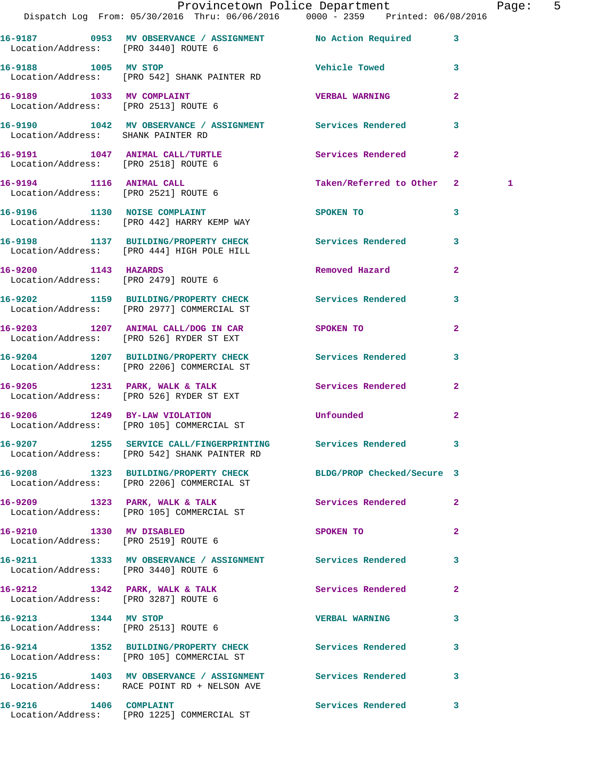|                                      | Provincetown Police Department The Page: 5<br>Dispatch Log From: 05/30/2016 Thru: 06/06/2016   0000 - 2359   Printed: 06/08/2016 |                           |                |   |  |
|--------------------------------------|----------------------------------------------------------------------------------------------------------------------------------|---------------------------|----------------|---|--|
| Location/Address: [PRO 3440] ROUTE 6 | 16-9187 6953 MV OBSERVANCE / ASSIGNMENT No Action Required 3                                                                     |                           |                |   |  |
| 16-9188 1005 MV STOP                 | Location/Address: [PRO 542] SHANK PAINTER RD                                                                                     | Vehicle Towed 3           |                |   |  |
| Location/Address: [PRO 2513] ROUTE 6 | 16-9189 1033 MV COMPLAINT                                                                                                        | VERBAL WARNING            | $\mathbf{2}$   |   |  |
| Location/Address: SHANK PAINTER RD   | 16-9190 1042 MV OBSERVANCE / ASSIGNMENT Services Rendered                                                                        |                           | 3              |   |  |
|                                      | 16-9191 1047 ANIMAL CALL/TURTLE<br>Location/Address: [PRO 2518] ROUTE 6                                                          | Services Rendered         | $\mathbf{2}$   |   |  |
| Location/Address: [PRO 2521] ROUTE 6 | 16-9194 1116 ANIMAL CALL                                                                                                         | Taken/Referred to Other 2 |                | 1 |  |
|                                      | 16-9196 1130 NOISE COMPLAINT<br>Location/Address: [PRO 442] HARRY KEMP WAY                                                       | SPOKEN TO                 | 3              |   |  |
|                                      | 16-9198 1137 BUILDING/PROPERTY CHECK Services Rendered<br>Location/Address: [PRO 444] HIGH POLE HILL                             |                           | 3              |   |  |
| 16-9200 1143 HAZARDS                 | Location/Address: [PRO 2479] ROUTE 6                                                                                             | Removed Hazard            | $\overline{2}$ |   |  |
|                                      | 16-9202 1159 BUILDING/PROPERTY CHECK Services Rendered<br>Location/Address: [PRO 2977] COMMERCIAL ST                             |                           | 3              |   |  |
|                                      | 16-9203 1207 ANIMAL CALL/DOG IN CAR SPOKEN TO<br>Location/Address: [PRO 526] RYDER ST EXT                                        |                           | $\overline{2}$ |   |  |
|                                      | 16-9204 1207 BUILDING/PROPERTY CHECK Services Rendered<br>Location/Address: [PRO 2206] COMMERCIAL ST                             |                           | 3              |   |  |
|                                      | 16-9205 1231 PARK, WALK & TALK<br>Location/Address: [PRO 526] RYDER ST EXT                                                       | Services Rendered         | $\mathbf{2}$   |   |  |
|                                      | 16-9206 1249 BY-LAW VIOLATION<br>Location/Address: [PRO 105] COMMERCIAL ST                                                       | <b>Unfounded</b>          | $\mathbf{2}$   |   |  |
|                                      | 16-9207 1255 SERVICE CALL/FINGERPRINTING Services Rendered 3<br>Location/Address: [PRO 542] SHANK PAINTER RD                     |                           |                |   |  |
|                                      | 16-9208 1323 BUILDING/PROPERTY CHECK BLDG/PROP Checked/Secure 3<br>Location/Address: [PRO 2206] COMMERCIAL ST                    |                           |                |   |  |
|                                      | 16-9209 1323 PARK, WALK & TALK<br>Location/Address: [PRO 105] COMMERCIAL ST                                                      | Services Rendered         | $\mathbf{2}$   |   |  |
|                                      | 16-9210 1330 MV DISABLED<br>Location/Address: [PRO 2519] ROUTE 6                                                                 | SPOKEN TO                 | $\mathbf{2}$   |   |  |
| Location/Address: [PRO 3440] ROUTE 6 | 16-9211 1333 MV OBSERVANCE / ASSIGNMENT Services Rendered                                                                        |                           | 3              |   |  |
| Location/Address: [PRO 3287] ROUTE 6 | 16-9212 1342 PARK, WALK & TALK                                                                                                   | Services Rendered         | $\mathbf{2}$   |   |  |
| 16-9213 1344 MV STOP                 | Location/Address: [PRO 2513] ROUTE 6                                                                                             | <b>VERBAL WARNING</b>     | 3              |   |  |
|                                      | 16-9214 1352 BUILDING/PROPERTY CHECK Services Rendered<br>Location/Address: [PRO 105] COMMERCIAL ST                              |                           | 3              |   |  |
|                                      | 16-9215 1403 MV OBSERVANCE / ASSIGNMENT Services Rendered<br>Location/Address: RACE POINT RD + NELSON AVE                        |                           | 3              |   |  |
|                                      | 16-9216 1406 COMPLAINT<br>Location/Address: [PRO 1225] COMMERCIAL ST                                                             | Services Rendered         | 3              |   |  |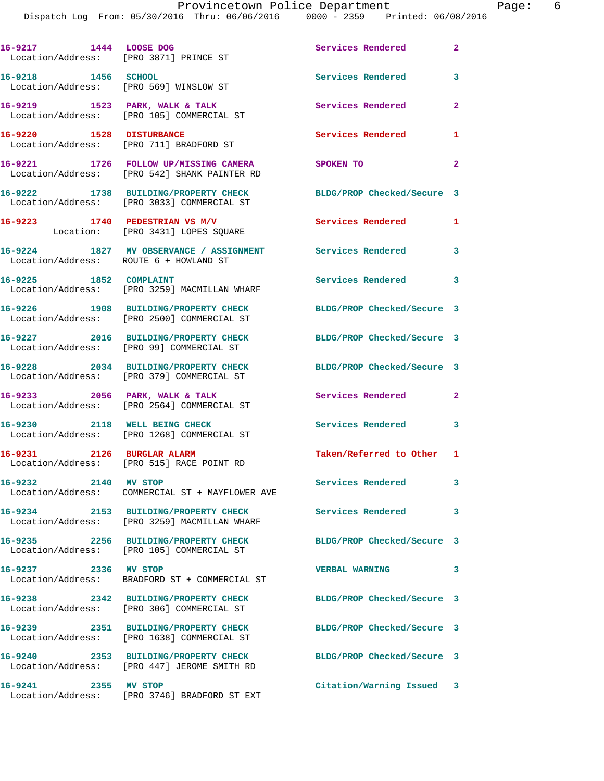| 16-9217 1444 LOOSE DOG<br>Location/Address: [PRO 3871] PRINCE ST |                                                                                       | Services Rendered          | $\mathbf{2}$   |
|------------------------------------------------------------------|---------------------------------------------------------------------------------------|----------------------------|----------------|
| 16-9218 1456 SCHOOL                                              | Location/Address: [PRO 569] WINSLOW ST                                                | Services Rendered          | 3              |
|                                                                  | 16-9219 1523 PARK, WALK & TALK<br>Location/Address: [PRO 105] COMMERCIAL ST           | Services Rendered          | $\mathbf{2}$   |
| 16-9220 1528 DISTURBANCE                                         | Location/Address: [PRO 711] BRADFORD ST                                               | Services Rendered          | $\mathbf{1}$   |
|                                                                  | 16-9221 1726 FOLLOW UP/MISSING CAMERA<br>Location/Address: [PRO 542] SHANK PAINTER RD | SPOKEN TO                  | $\overline{2}$ |
|                                                                  | 16-9222 1738 BUILDING/PROPERTY CHECK<br>Location/Address: [PRO 3033] COMMERCIAL ST    | BLDG/PROP Checked/Secure 3 |                |
|                                                                  | $16-9223$ 1740 PEDESTRIAN VS M/V<br>Location: [PRO 3431] LOPES SQUARE                 | Services Rendered          | $\mathbf{1}$   |
| Location/Address: ROUTE 6 + HOWLAND ST                           | 16-9224 1827 MV OBSERVANCE / ASSIGNMENT Services Rendered 3                           |                            |                |
| 16-9225 1852 COMPLAINT                                           | Location/Address: [PRO 3259] MACMILLAN WHARF                                          | Services Rendered 3        |                |
|                                                                  | 16-9226 1908 BUILDING/PROPERTY CHECK<br>Location/Address: [PRO 2500] COMMERCIAL ST    | BLDG/PROP Checked/Secure 3 |                |
|                                                                  | 16-9227 2016 BUILDING/PROPERTY CHECK<br>Location/Address: [PRO 99] COMMERCIAL ST      | BLDG/PROP Checked/Secure 3 |                |
|                                                                  | 16-9228 2034 BUILDING/PROPERTY CHECK<br>Location/Address: [PRO 379] COMMERCIAL ST     | BLDG/PROP Checked/Secure 3 |                |
| 16-9233 2056 PARK, WALK & TALK                                   | Location/Address: [PRO 2564] COMMERCIAL ST                                            | Services Rendered 2        |                |
|                                                                  | 16-9230 2118 WELL BEING CHECK<br>Location/Address: [PRO 1268] COMMERCIAL ST           | Services Rendered 3        |                |
| 16-9231 2126 BURGLAR ALARM                                       | Location/Address: [PRO 515] RACE POINT RD                                             | Taken/Referred to Other 1  |                |
| 16-9232 2140 MV STOP                                             | Location/Address: COMMERCIAL ST + MAYFLOWER AVE                                       | Services Rendered          | 3              |
|                                                                  | 16-9234 2153 BUILDING/PROPERTY CHECK<br>Location/Address: [PRO 3259] MACMILLAN WHARF  | <b>Services Rendered</b>   | 3              |
|                                                                  | 16-9235 2256 BUILDING/PROPERTY CHECK<br>Location/Address: [PRO 105] COMMERCIAL ST     | BLDG/PROP Checked/Secure 3 |                |
| 16-9237 2336 MV STOP                                             | Location/Address: BRADFORD ST + COMMERCIAL ST                                         | <b>VERBAL WARNING</b>      | 3              |
|                                                                  | 16-9238 2342 BUILDING/PROPERTY CHECK<br>Location/Address: [PRO 306] COMMERCIAL ST     | BLDG/PROP Checked/Secure 3 |                |
|                                                                  | 16-9239 2351 BUILDING/PROPERTY CHECK<br>Location/Address: [PRO 1638] COMMERCIAL ST    | BLDG/PROP Checked/Secure 3 |                |
|                                                                  | 16-9240 2353 BUILDING/PROPERTY CHECK<br>Location/Address: [PRO 447] JEROME SMITH RD   | BLDG/PROP Checked/Secure 3 |                |
| 16-9241 2355 MV STOP                                             | Location/Address: [PRO 3746] BRADFORD ST EXT                                          | Citation/Warning Issued 3  |                |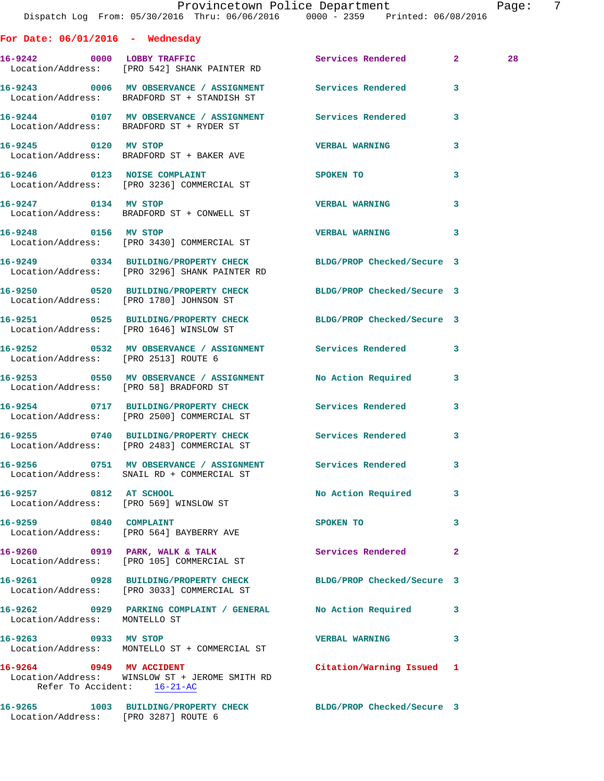|                                      | Provincetown Police Department<br>Dispatch Log From: 05/30/2016 Thru: 06/06/2016 0000 - 2359 Printed: 06/08/2016 |                           |              | Page: 7 |  |
|--------------------------------------|------------------------------------------------------------------------------------------------------------------|---------------------------|--------------|---------|--|
| For Date: $06/01/2016$ - Wednesday   |                                                                                                                  |                           |              |         |  |
|                                      | 16-9242 0000 LOBBY TRAFFIC Services Rendered 2<br>Location/Address: [PRO 542] SHANK PAINTER RD                   |                           |              | 28      |  |
|                                      | 16-9243 0006 MV OBSERVANCE / ASSIGNMENT Services Rendered 3<br>Location/Address: BRADFORD ST + STANDISH ST       |                           |              |         |  |
|                                      | 16-9244 0107 MV OBSERVANCE / ASSIGNMENT Services Rendered 3<br>Location/Address: BRADFORD ST + RYDER ST          |                           |              |         |  |
| 16-9245 0120 MV STOP                 | Location/Address: BRADFORD ST + BAKER AVE                                                                        | <b>VERBAL WARNING</b> 3   |              |         |  |
|                                      | 16-9246 0123 NOISE COMPLAINT<br>Location/Address: [PRO 3236] COMMERCIAL ST                                       | SPOKEN TO                 | $\mathbf{3}$ |         |  |
| 16-9247 0134 MV STOP                 | Location/Address: BRADFORD ST + CONWELL ST                                                                       | VERBAL WARNING 3          |              |         |  |
|                                      | 16-9248 0156 MV STOP<br>Location/Address: [PRO 3430] COMMERCIAL ST                                               | VERBAL WARNING 3          |              |         |  |
|                                      | 16-9249 0334 BUILDING/PROPERTY CHECK BLDG/PROP Checked/Secure 3<br>Location/Address: [PRO 3296] SHANK PAINTER RD |                           |              |         |  |
|                                      | 16-9250 0520 BUILDING/PROPERTY CHECK BLDG/PROP Checked/Secure 3<br>Location/Address: [PRO 1780] JOHNSON ST       |                           |              |         |  |
|                                      | 16-9251 0525 BUILDING/PROPERTY CHECK BLDG/PROP Checked/Secure 3<br>Location/Address: [PRO 1646] WINSLOW ST       |                           |              |         |  |
| Location/Address: [PRO 2513] ROUTE 6 | 16-9252 		 0532 MV OBSERVANCE / ASSIGNMENT Services Rendered 3                                                   |                           |              |         |  |
|                                      | 16-9253 0550 MV OBSERVANCE / ASSIGNMENT No Action Required 3<br>Location/Address: [PRO 58] BRADFORD ST           |                           |              |         |  |
|                                      | 16-9254 0717 BUILDING/PROPERTY CHECK Services Rendered 3<br>Location/Address: [PRO 2500] COMMERCIAL ST           |                           |              |         |  |
|                                      | 16-9255 0740 BUILDING/PROPERTY CHECK Services Rendered<br>Location/Address: [PRO 2483] COMMERCIAL ST             |                           |              |         |  |
|                                      | 16-9256 0751 MV OBSERVANCE / ASSIGNMENT Services Rendered<br>Location/Address: SNAIL RD + COMMERCIAL ST          |                           | 3            |         |  |
| 16-9257 0812 AT SCHOOL               | Location/Address: [PRO 569] WINSLOW ST                                                                           | No Action Required 3      |              |         |  |
|                                      | 16-9259 0840 COMPLAINT<br>Location/Address: [PRO 564] BAYBERRY AVE                                               | SPOKEN TO                 | 3            |         |  |
|                                      | 16-9260 0919 PARK, WALK & TALK Services Rendered 2<br>Location/Address: [PRO 105] COMMERCIAL ST                  |                           |              |         |  |
|                                      | 16-9261 0928 BUILDING/PROPERTY CHECK BLDG/PROP Checked/Secure 3<br>Location/Address: [PRO 3033] COMMERCIAL ST    |                           |              |         |  |
| Location/Address: MONTELLO ST        | 16-9262 0929 PARKING COMPLAINT / GENERAL No Action Required 3                                                    |                           |              |         |  |
| 16-9263 0933 MV STOP                 | Location/Address: MONTELLO ST + COMMERCIAL ST                                                                    | VERBAL WARNING 3          |              |         |  |
| Refer To Accident: 16-21-AC          | 16-9264 0949 MV ACCIDENT<br>Location/Address: WINSLOW ST + JEROME SMITH RD                                       | Citation/Warning Issued 1 |              |         |  |
|                                      | 16-9265 1003 BUILDING/PROPERTY CHECK BLDG/PROP Checked/Secure 3<br>Location/Address: [PRO 3287] ROUTE 6          |                           |              |         |  |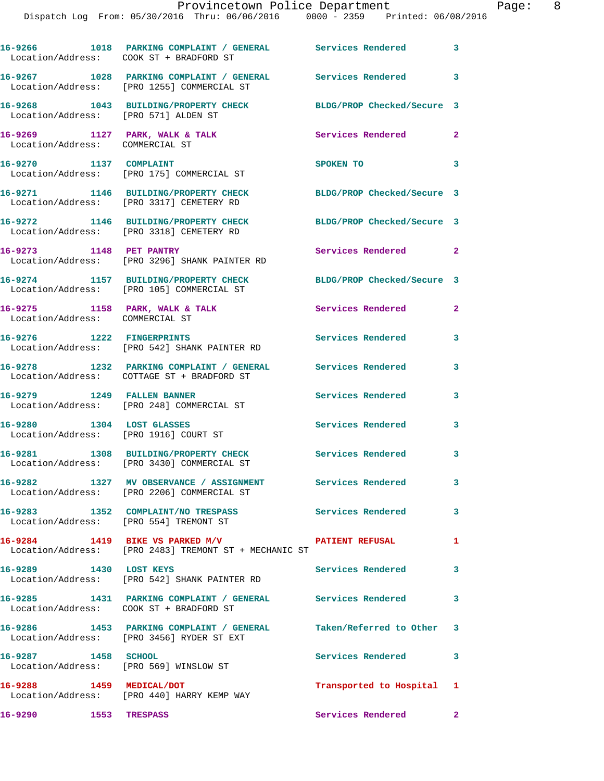|                                                                   | 16-9266 1018 PARKING COMPLAINT / GENERAL Services Rendered 3<br>Location/Address: COOK ST + BRADFORD ST         |                            |                            |
|-------------------------------------------------------------------|-----------------------------------------------------------------------------------------------------------------|----------------------------|----------------------------|
|                                                                   | 16-9267 1028 PARKING COMPLAINT / GENERAL Services Rendered 3<br>Location/Address: [PRO 1255] COMMERCIAL ST      |                            |                            |
| Location/Address: [PRO 571] ALDEN ST                              | 16-9268 1043 BUILDING/PROPERTY CHECK                                                                            | BLDG/PROP Checked/Secure 3 |                            |
| 16-9269 1127 PARK, WALK & TALK<br>Location/Address: COMMERCIAL ST |                                                                                                                 | <b>Services Rendered</b> 2 |                            |
| 16-9270 1137 COMPLAINT                                            | Location/Address: [PRO 175] COMMERCIAL ST                                                                       | SPOKEN TO                  | $\overline{\phantom{a}}$ 3 |
|                                                                   | 16-9271 1146 BUILDING/PROPERTY CHECK<br>Location/Address: [PRO 3317] CEMETERY RD                                | BLDG/PROP Checked/Secure 3 |                            |
|                                                                   | 16-9272 1146 BUILDING/PROPERTY CHECK<br>Location/Address: [PRO 3318] CEMETERY RD                                | BLDG/PROP Checked/Secure 3 |                            |
| 16-9273 1148 PET PANTRY                                           | Location/Address: [PRO 3296] SHANK PAINTER RD                                                                   | Services Rendered 2        |                            |
|                                                                   | 16-9274 1157 BUILDING/PROPERTY CHECK<br>Location/Address: [PRO 105] COMMERCIAL ST                               | BLDG/PROP Checked/Secure 3 |                            |
| Location/Address: COMMERCIAL ST                                   | 16-9275 1158 PARK, WALK & TALK                                                                                  | <b>Services Rendered</b>   | $\mathbf{2}$               |
|                                                                   | 16-9276 1222 FINGERPRINTS<br>Location/Address: [PRO 542] SHANK PAINTER RD                                       | Services Rendered          | 3                          |
|                                                                   | 16-9278 1232 PARKING COMPLAINT / GENERAL Services Rendered<br>Location/Address: COTTAGE ST + BRADFORD ST        |                            | 3                          |
| 16-9279 1249 FALLEN BANNER                                        | Location/Address: [PRO 248] COMMERCIAL ST                                                                       | Services Rendered          | 3                          |
| 16-9280 1304 LOST GLASSES                                         | Location/Address: [PRO 1916] COURT ST                                                                           | Services Rendered          | 3                          |
|                                                                   | 16-9281 1308 BUILDING/PROPERTY CHECK<br>Location/Address: [PRO 3430] COMMERCIAL ST                              | <b>Services Rendered</b>   | 3                          |
|                                                                   | 16-9282 1327 MV OBSERVANCE / ASSIGNMENT<br>Location/Address: [PRO 2206] COMMERCIAL ST                           | Services Rendered          | 3                          |
|                                                                   | 16-9283 1352 COMPLAINT/NO TRESPASS Services Rendered 3<br>Location/Address: [PRO 554] TREMONT ST                |                            |                            |
|                                                                   | 16-9284 1419 BIKE VS PARKED M/V CONTRIBIT REFUSAL<br>Location/Address: [PRO 2483] TREMONT ST + MECHANIC ST      |                            | 1                          |
| 16-9289 1430 LOST KEYS                                            | Location/Address: [PRO 542] SHANK PAINTER RD                                                                    | Services Rendered 3        |                            |
| Location/Address: COOK ST + BRADFORD ST                           | 16-9285 1431 PARKING COMPLAINT / GENERAL Services Rendered                                                      |                            | 3                          |
|                                                                   | 16-9286 1453 PARKING COMPLAINT / GENERAL Taken/Referred to Other 3<br>Location/Address: [PRO 3456] RYDER ST EXT |                            |                            |
| 16-9287 1458 SCHOOL                                               | Location/Address: [PRO 569] WINSLOW ST                                                                          | Services Rendered          | 3                          |
| 16-9288 1459 MEDICAL/DOT                                          | Location/Address: [PRO 440] HARRY KEMP WAY                                                                      | Transported to Hospital 1  |                            |
| 16-9290<br>1553 TRESPASS                                          |                                                                                                                 | Services Rendered 2        |                            |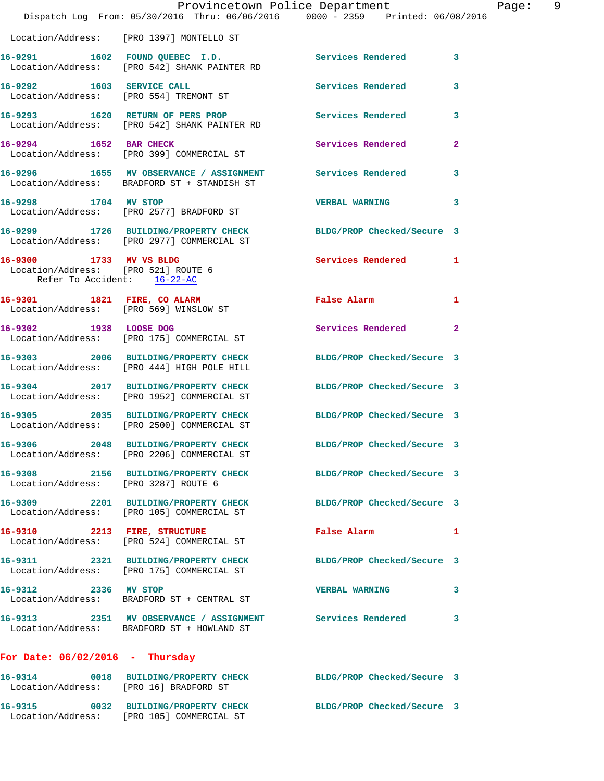|                                                                                               |                                                                                    | Provincetown Police Department<br>Dispatch Log From: 05/30/2016 Thru: 06/06/2016 0000 - 2359 Printed: 06/08/2016 | Page: 9 |
|-----------------------------------------------------------------------------------------------|------------------------------------------------------------------------------------|------------------------------------------------------------------------------------------------------------------|---------|
|                                                                                               | Location/Address: [PRO 1397] MONTELLO ST                                           |                                                                                                                  |         |
|                                                                                               | Location/Address: [PRO 542] SHANK PAINTER RD                                       | 16-9291 1602 FOUND QUEBEC I.D. Services Rendered 3                                                               |         |
|                                                                                               | 16-9292 1603 SERVICE CALL<br>Location/Address: [PRO 554] TREMONT ST                | Services Rendered<br>$\mathbf{3}$                                                                                |         |
|                                                                                               | Location/Address: [PRO 542] SHANK PAINTER RD                                       | 16-9293 1620 RETURN OF PERS PROP Services Rendered<br>3                                                          |         |
|                                                                                               | 16-9294 1652 BAR CHECK<br>Location/Address: [PRO 399] COMMERCIAL ST                | Services Rendered<br>$\mathbf{2}$                                                                                |         |
|                                                                                               | Location/Address: BRADFORD ST + STANDISH ST                                        | 16-9296 1655 MV OBSERVANCE / ASSIGNMENT Services Rendered<br>$\mathbf{3}$                                        |         |
|                                                                                               | 16-9298 1704 MV STOP<br>Location/Address: [PRO 2577] BRADFORD ST                   | <b>VERBAL WARNING</b><br>3                                                                                       |         |
|                                                                                               | Location/Address: [PRO 2977] COMMERCIAL ST                                         | 16-9299 1726 BUILDING/PROPERTY CHECK BLDG/PROP Checked/Secure 3                                                  |         |
| 16-9300 1733 MV VS BLDG<br>Location/Address: [PRO 521] ROUTE 6<br>Refer To Accident: 16-22-AC |                                                                                    | Services Rendered 1                                                                                              |         |
| Location/Address: [PRO 569] WINSLOW ST                                                        | 16-9301 1821 FIRE, CO ALARM                                                        | False Alarm <b>Francisco Execute 1986</b><br>1                                                                   |         |
| 16-9302 1938 LOOSE DOG                                                                        | Location/Address: [PRO 175] COMMERCIAL ST                                          | Services Rendered 2                                                                                              |         |
|                                                                                               | Location/Address: [PRO 444] HIGH POLE HILL                                         | 16-9303 2006 BUILDING/PROPERTY CHECK BLDG/PROP Checked/Secure 3                                                  |         |
|                                                                                               | Location/Address: [PRO 1952] COMMERCIAL ST                                         | 16-9304 2017 BUILDING/PROPERTY CHECK BLDG/PROP Checked/Secure 3                                                  |         |
|                                                                                               | 16-9305 2035 BUILDING/PROPERTY CHECK<br>Location/Address: [PRO 2500] COMMERCIAL ST | BLDG/PROP Checked/Secure 3                                                                                       |         |
|                                                                                               | 16-9306 2048 BUILDING/PROPERTY CHECK<br>Location/Address: [PRO 2206] COMMERCIAL ST | BLDG/PROP Checked/Secure 3                                                                                       |         |
| Location/Address: [PRO 3287] ROUTE 6                                                          |                                                                                    | 16-9308 2156 BUILDING/PROPERTY CHECK BLDG/PROP Checked/Secure 3                                                  |         |
|                                                                                               | 16-9309 2201 BUILDING/PROPERTY CHECK<br>Location/Address: [PRO 105] COMMERCIAL ST  | BLDG/PROP Checked/Secure 3                                                                                       |         |
|                                                                                               | 16-9310 2213 FIRE, STRUCTURE<br>Location/Address: [PRO 524] COMMERCIAL ST          | False Alarm<br>1                                                                                                 |         |
|                                                                                               | 16-9311 2321 BUILDING/PROPERTY CHECK<br>Location/Address: [PRO 175] COMMERCIAL ST  | BLDG/PROP Checked/Secure 3                                                                                       |         |
| 16-9312 2336 MV STOP                                                                          | Location/Address: BRADFORD ST + CENTRAL ST                                         | <b>VERBAL WARNING</b><br>3                                                                                       |         |
|                                                                                               | Location/Address: BRADFORD ST + HOWLAND ST                                         | 16-9313 2351 MV OBSERVANCE / ASSIGNMENT Services Rendered<br>$\mathbf{3}$                                        |         |
| For Date: $06/02/2016$ - Thursday                                                             |                                                                                    |                                                                                                                  |         |
| Location/Address: [PRO 16] BRADFORD ST                                                        |                                                                                    | 16-9314 0018 BUILDING/PROPERTY CHECK BLDG/PROP Checked/Secure 3                                                  |         |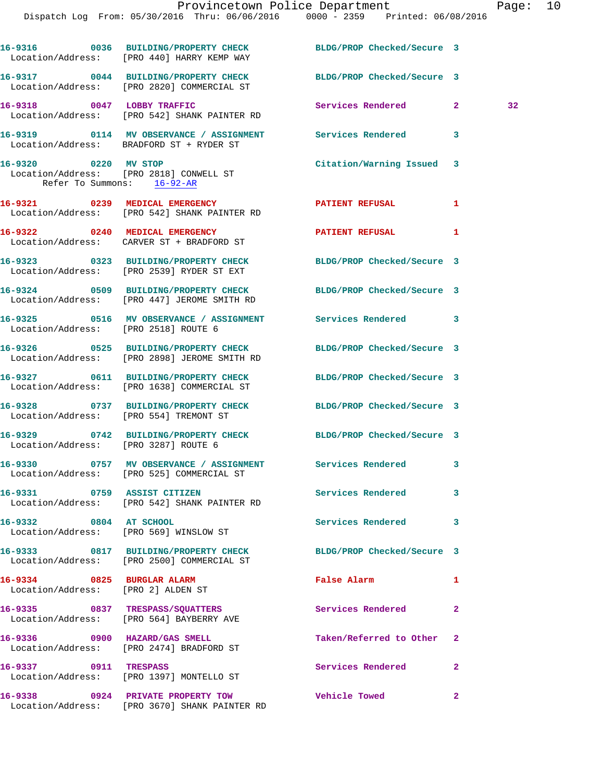|                                                                  | Dispatch Log From: 05/30/2016 Thru: 06/06/2016 0000 - 2359 Printed: 06/08/2016                                      | Provincetown Police Department |              | Page: 10 |  |
|------------------------------------------------------------------|---------------------------------------------------------------------------------------------------------------------|--------------------------------|--------------|----------|--|
|                                                                  | 16-9316 0036 BUILDING/PROPERTY CHECK BLDG/PROP Checked/Secure 3<br>Location/Address: [PRO 440] HARRY KEMP WAY       |                                |              |          |  |
|                                                                  | 16-9317 0044 BUILDING/PROPERTY CHECK BLDG/PROP Checked/Secure 3<br>Location/Address: [PRO 2820] COMMERCIAL ST       |                                |              |          |  |
|                                                                  | 16-9318 0047 LOBBY TRAFFIC<br>Location/Address: [PRO 542] SHANK PAINTER RD                                          | Services Rendered 2            |              | 32       |  |
|                                                                  | 16-9319 0114 MV OBSERVANCE / ASSIGNMENT Services Rendered<br>Location/Address: BRADFORD ST + RYDER ST               |                                | 3            |          |  |
| 16-9320 0220 MV STOP<br>Refer To Summons: 16-92-AR               | Location/Address: [PRO 2818] CONWELL ST                                                                             | Citation/Warning Issued 3      |              |          |  |
|                                                                  | 16-9321 0239 MEDICAL EMERGENCY<br>Location/Address: [PRO 542] SHANK PAINTER RD                                      | PATIENT REFUSAL                | 1            |          |  |
|                                                                  | 16-9322 0240 MEDICAL EMERGENCY<br>Location/Address: CARVER ST + BRADFORD ST                                         | <b>PATIENT REFUSAL</b>         | 1            |          |  |
|                                                                  | 16-9323 0323 BUILDING/PROPERTY CHECK BLDG/PROP Checked/Secure 3<br>Location/Address: [PRO 2539] RYDER ST EXT        |                                |              |          |  |
|                                                                  | 16-9324 0509 BUILDING/PROPERTY CHECK BLDG/PROP Checked/Secure 3<br>Location/Address: [PRO 447] JEROME SMITH RD      |                                |              |          |  |
| Location/Address: [PRO 2518] ROUTE 6                             | 16-9325 0516 MV OBSERVANCE / ASSIGNMENT Services Rendered 3                                                         |                                |              |          |  |
|                                                                  | 16-9326 0525 BUILDING/PROPERTY CHECK<br>Location/Address: [PRO 2898] JEROME SMITH RD                                | BLDG/PROP Checked/Secure 3     |              |          |  |
|                                                                  | 16-9327 0611 BUILDING/PROPERTY CHECK BLDG/PROP Checked/Secure 3<br>Location/Address: [PRO 1638] COMMERCIAL ST       |                                |              |          |  |
| Location/Address: [PRO 554] TREMONT ST                           | 16-9328 0737 BUILDING/PROPERTY CHECK                                                                                | BLDG/PROP Checked/Secure 3     |              |          |  |
| 16-9329<br>Location/Address: [PRO 3287] ROUTE 6                  | 0742 BUILDING/PROPERTY CHECK BLDG/PROP Checked/Secure 3                                                             |                                |              |          |  |
|                                                                  | 16-9330       0757   MV OBSERVANCE / ASSIGNMENT      Services Rendered<br>Location/Address: [PRO 525] COMMERCIAL ST |                                | 3            |          |  |
| 16-9331 0759 ASSIST CITIZEN                                      | Location/Address: [PRO 542] SHANK PAINTER RD                                                                        | Services Rendered              | 3            |          |  |
| 16-9332 0804 AT SCHOOL                                           | Location/Address: [PRO 569] WINSLOW ST                                                                              | Services Rendered              | 3            |          |  |
|                                                                  | 16-9333 0817 BUILDING/PROPERTY CHECK<br>Location/Address: [PRO 2500] COMMERCIAL ST                                  | BLDG/PROP Checked/Secure 3     |              |          |  |
| 16-9334 0825 BURGLAR ALARM<br>Location/Address: [PRO 2] ALDEN ST |                                                                                                                     | False Alarm                    | 1            |          |  |
|                                                                  | 16-9335 0837 TRESPASS/SQUATTERS<br>Location/Address: [PRO 564] BAYBERRY AVE                                         | Services Rendered              | $\mathbf{2}$ |          |  |
|                                                                  | 16-9336 0900 HAZARD/GAS SMELL<br>Location/Address: [PRO 2474] BRADFORD ST                                           | Taken/Referred to Other 2      |              |          |  |
| 16-9337 0911 TRESPASS                                            |                                                                                                                     | Services Rendered 2            |              |          |  |

Location/Address: [PRO 1397] MONTELLO ST

**16-9338 0924 PRIVATE PROPERTY TOW Vehicle Towed 2**  Location/Address: [PRO 3670] SHANK PAINTER RD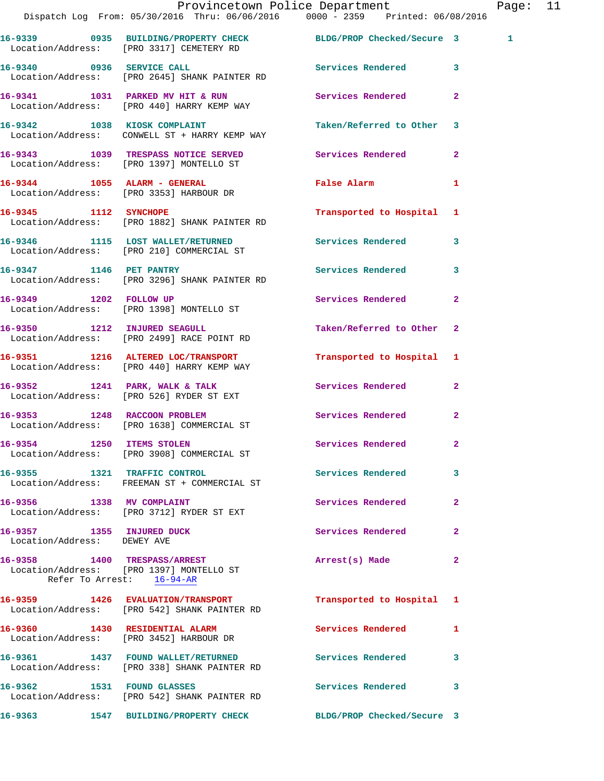|                                                          | Provincetown Police Department<br>Dispatch Log From: 05/30/2016 Thru: 06/06/2016 0000 - 2359 Printed: 06/08/2016 |                            |                | Page: 11 |  |
|----------------------------------------------------------|------------------------------------------------------------------------------------------------------------------|----------------------------|----------------|----------|--|
|                                                          | 16-9339 0935 BUILDING/PROPERTY CHECK BLDG/PROP Checked/Secure 3<br>Location/Address: [PRO 3317] CEMETERY RD      |                            |                | 1        |  |
|                                                          | 16-9340 0936 SERVICE CALL <b>16-9340</b> Services Rendered 3<br>Location/Address: [PRO 2645] SHANK PAINTER RD    |                            |                |          |  |
|                                                          | 16-9341 1031 PARKED MV HIT & RUN Services Rendered 2<br>Location/Address: [PRO 440] HARRY KEMP WAY               |                            |                |          |  |
|                                                          | 16-9342 1038 KIOSK COMPLAINT<br>Location/Address: CONWELL ST + HARRY KEMP WAY                                    | Taken/Referred to Other 3  |                |          |  |
|                                                          | 16-9343 1039 TRESPASS NOTICE SERVED<br>Location/Address: [PRO 1397] MONTELLO ST                                  | <b>Services Rendered</b> 2 |                |          |  |
|                                                          | 16-9344 1055 ALARM - GENERAL<br>Location/Address: [PRO 3353] HARBOUR DR                                          | False Alarm                | $\mathbf{1}$   |          |  |
|                                                          | 16-9345 1112 SYNCHOPE<br>Location/Address: [PRO 1882] SHANK PAINTER RD                                           | Transported to Hospital 1  |                |          |  |
|                                                          | 16-9346 1115 LOST WALLET/RETURNED Services Rendered 3<br>Location/Address: [PRO 210] COMMERCIAL ST               |                            |                |          |  |
|                                                          | 16-9347 1146 PET PANTRY<br>Location/Address: [PRO 3296] SHANK PAINTER RD                                         | Services Rendered 3        |                |          |  |
|                                                          | 16-9349 1202 FOLLOW UP<br>Location/Address: [PRO 1398] MONTELLO ST                                               | Services Rendered          | $\mathbf{2}$   |          |  |
|                                                          | 16-9350 1212 INJURED SEAGULL<br>Location/Address: [PRO 2499] RACE POINT RD                                       | Taken/Referred to Other 2  |                |          |  |
|                                                          | 16-9351 1216 ALTERED LOC/TRANSPORT<br>Location/Address: [PRO 440] HARRY KEMP WAY                                 | Transported to Hospital 1  |                |          |  |
|                                                          | 16-9352 1241 PARK, WALK & TALK<br>Location/Address: [PRO 526] RYDER ST EXT                                       | Services Rendered 2        |                |          |  |
|                                                          | 16-9353 1248 RACCOON PROBLEM<br>Location/Address: [PRO 1638] COMMERCIAL ST                                       | Services Rendered 2        |                |          |  |
| 16-9354 1250 ITEMS STOLEN                                | Location/Address: [PRO 3908] COMMERCIAL ST                                                                       | <b>Services Rendered</b>   |                |          |  |
|                                                          | 16-9355 1321 TRAFFIC CONTROL<br>Location/Address: FREEMAN ST + COMMERCIAL ST                                     | Services Rendered 3        |                |          |  |
| 16-9356 1338 MV COMPLAINT                                | Location/Address: [PRO 3712] RYDER ST EXT                                                                        | Services Rendered          | $\overline{2}$ |          |  |
| 16-9357 1355 INJURED DUCK<br>Location/Address: DEWEY AVE |                                                                                                                  | Services Rendered          | $\mathbf{2}$   |          |  |
|                                                          | 16-9358 1400 TRESPASS/ARREST<br>Location/Address: [PRO 1397] MONTELLO ST<br>Refer To Arrest: 16-94-AR            | Arrest(s) Made             | $\mathbf{2}$   |          |  |
|                                                          | 16-9359 1426 EVALUATION/TRANSPORT<br>Location/Address: [PRO 542] SHANK PAINTER RD                                | Transported to Hospital 1  |                |          |  |
|                                                          | 16-9360 1430 RESIDENTIAL ALARM<br>Location/Address: [PRO 3452] HARBOUR DR                                        | Services Rendered 1        |                |          |  |
|                                                          | 16-9361 1437 FOUND WALLET/RETURNED<br>Location/Address: [PRO 338] SHANK PAINTER RD                               | <b>Services Rendered</b>   | $\mathbf{3}$   |          |  |
|                                                          | 16-9362 1531 FOUND GLASSES<br>Location/Address: [PRO 542] SHANK PAINTER RD                                       | Services Rendered          | $\mathbf{3}$   |          |  |
|                                                          | 16-9363 1547 BUILDING/PROPERTY CHECK BLDG/PROP Checked/Secure 3                                                  |                            |                |          |  |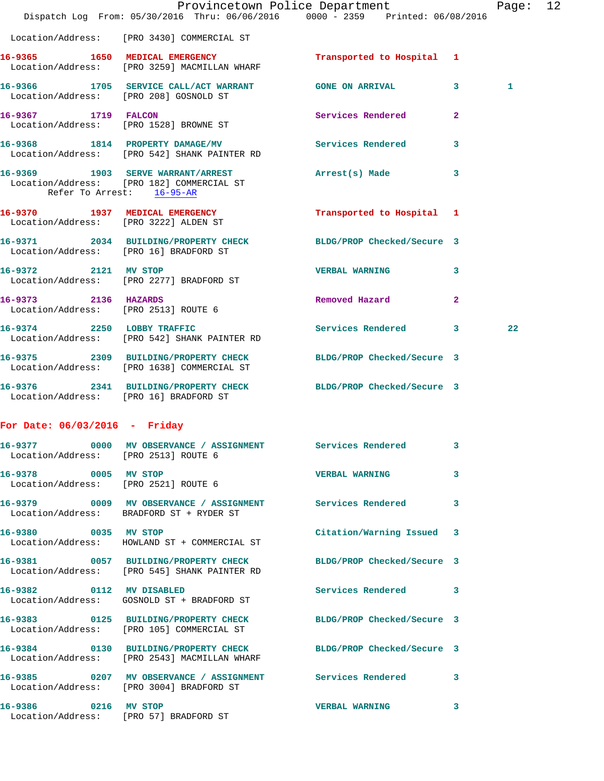|                                      | Provincetown Police Department The Mage: 12<br>Dispatch Log From: 05/30/2016 Thru: 06/06/2016 0000 - 2359 Printed: 06/08/2016 |                           |                |    |  |
|--------------------------------------|-------------------------------------------------------------------------------------------------------------------------------|---------------------------|----------------|----|--|
|                                      | Location/Address: [PRO 3430] COMMERCIAL ST                                                                                    |                           |                |    |  |
|                                      | 16-9365 1650 MEDICAL EMERGENCY<br>Location/Address: [PRO 3259] MACMILLAN WHARF                                                | Transported to Hospital 1 |                |    |  |
|                                      | 16-9366 1705 SERVICE CALL/ACT WARRANT GONE ON ARRIVAL 3<br>Location/Address: [PRO 208] GOSNOLD ST                             |                           |                | 1  |  |
| 16-9367 1719 FALCON                  | Location/Address: [PRO 1528] BROWNE ST                                                                                        | Services Rendered 2       |                |    |  |
|                                      | 16-9368 1814 PROPERTY DAMAGE/MV<br>Location/Address: [PRO 542] SHANK PAINTER RD                                               | Services Rendered 3       |                |    |  |
| Refer To Arrest: 16-95-AR            | 16-9369 1903 SERVE WARRANT/ARREST Arrest(s) Made 3<br>Location/Address: [PRO 182] COMMERCIAL ST                               |                           |                |    |  |
|                                      | 16-9370 1937 MEDICAL EMERGENCY<br>Location/Address: [PRO 3222] ALDEN ST                                                       | Transported to Hospital 1 |                |    |  |
|                                      | 16-9371 2034 BUILDING/PROPERTY CHECK BLDG/PROP Checked/Secure 3<br>Location/Address: [PRO 16] BRADFORD ST                     |                           |                |    |  |
|                                      | 16-9372 2121 MV STOP<br>Location/Address: [PRO 2277] BRADFORD ST                                                              | VERBAL WARNING 3          |                |    |  |
| 16-9373 2136 HAZARDS                 | Location/Address: [PRO 2513] ROUTE 6                                                                                          | Removed Hazard            | $\overline{2}$ |    |  |
|                                      | 16-9374 2250 LOBBY TRAFFIC<br>Location/Address: [PRO 542] SHANK PAINTER RD                                                    | Services Rendered 3       |                | 22 |  |
|                                      | 16-9375 2309 BUILDING/PROPERTY CHECK BLDG/PROP Checked/Secure 3<br>Location/Address: [PRO 1638] COMMERCIAL ST                 |                           |                |    |  |
|                                      | 16-9376 2341 BUILDING/PROPERTY CHECK BLDG/PROP Checked/Secure 3<br>Location/Address: [PRO 16] BRADFORD ST                     |                           |                |    |  |
| For Date: $06/03/2016$ - Friday      |                                                                                                                               |                           |                |    |  |
| Location/Address: [PRO 2513] ROUTE 6 | 16-9377 0000 MV OBSERVANCE / ASSIGNMENT Services Rendered 3                                                                   |                           |                |    |  |

| 16-9378           | 0005 |
|-------------------|------|
| Location/Address: |      |

[PRO 2521] ROUTE 6

Location/Address: BRADFORD ST + RYDER ST

Location/Address: HOWLAND ST + COMMERCIAL ST

**16-9381 0057 BUILDING/PROPERTY CHECK BLDG/PROP Checked/Secure 3**  Location/Address: [PRO 545] SHANK PAINTER RD

Location/Address: GOSNOLD ST + BRADFORD ST

Location/Address: [PRO 105] COMMERCIAL ST

Location/Address: [PRO 2543] MACMILLAN WHARF

Location/Address: [PRO 57] BRADFORD ST

Location/Address: [PRO 3004] BRADFORD ST

**16-937 MV STOP 16-937 MW STOP 16-9378 MW STOP 16-937 MW STOP 16-937 MW STOP 16-937 MW STOP 16-937 MW STOP 16-937 MW STOP 16-937 MW STOP 16-937 MW STOP 16-937 MW STOP 16-937 MW STOP 16-937 MW STOP 16-937 MW STOP 16-937 MW 16-9379 0009 MV OBSERVANCE / ASSIGNMENT Services Rendered 3 16-9380 0035 MV STOP Citation/Warning Issued 3 16-9382 0112 MV DISABLED Services Rendered 3 16-9383 0125 BUILDING/PROPERTY CHECK BLDG/PROP Checked/Secure 3 16-9384 0130 BUILDING/PROPERTY CHECK BLDG/PROP Checked/Secure 3 16-9385 0207 MV OBSERVANCE / ASSIGNMENT Services Rendered 3 16-9386 0216 MV STOP VERBAL WARNING 3**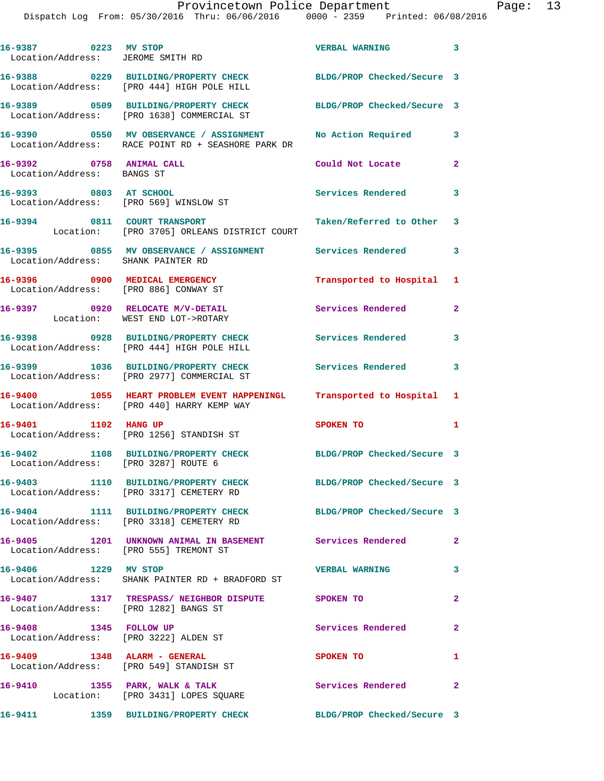| 16-9387 0223 MV STOP<br>Location/Address: JEROME SMITH RD        |                                                                                                                     | <b>VERBAL WARNING</b>             | $\mathbf{3}$            |
|------------------------------------------------------------------|---------------------------------------------------------------------------------------------------------------------|-----------------------------------|-------------------------|
|                                                                  | 16-9388 0229 BUILDING/PROPERTY CHECK BLDG/PROP Checked/Secure 3<br>Location/Address: [PRO 444] HIGH POLE HILL       |                                   |                         |
|                                                                  | 16-9389 0509 BUILDING/PROPERTY CHECK<br>Location/Address: [PRO 1638] COMMERCIAL ST                                  | BLDG/PROP Checked/Secure 3        |                         |
|                                                                  | 16-9390 0550 MV OBSERVANCE / ASSIGNMENT<br>Location/Address: RACE POINT RD + SEASHORE PARK DR                       | No Action Required 3              |                         |
| 16-9392 0758 ANIMAL CALL<br>Location/Address: BANGS ST           |                                                                                                                     | Could Not Locate                  | $\mathbf{2}$            |
| 16-9393 0803 AT SCHOOL<br>Location/Address: [PRO 569] WINSLOW ST |                                                                                                                     | Services Rendered                 | $\overline{\mathbf{3}}$ |
| 16-9394 0811 COURT TRANSPORT                                     | Location: [PRO 3705] ORLEANS DISTRICT COURT                                                                         | Taken/Referred to Other 3         |                         |
| Location/Address: SHANK PAINTER RD                               | 16-9395 6855 MV OBSERVANCE / ASSIGNMENT Services Rendered                                                           |                                   | $\overline{\mathbf{3}}$ |
|                                                                  | 16-9396 0900 MEDICAL EMERGENCY<br>Location/Address: [PRO 886] CONWAY ST                                             | Transported to Hospital 1         |                         |
|                                                                  | 16-9397 0920 RELOCATE M/V-DETAIL<br>Location: WEST END LOT->ROTARY                                                  | Services Rendered                 | $\mathbf{2}$            |
|                                                                  | 16-9398 0928 BUILDING/PROPERTY CHECK<br>Location/Address: [PRO 444] HIGH POLE HILL                                  | Services Rendered 3               |                         |
|                                                                  |                                                                                                                     | <b>Services Rendered</b>          | 3                       |
|                                                                  | 16-9400 1055 HEART PROBLEM EVENT HAPPENINGL Transported to Hospital 1<br>Location/Address: [PRO 440] HARRY KEMP WAY |                                   |                         |
| 16-9401 1102 HANG UP                                             | Location/Address: [PRO 1256] STANDISH ST                                                                            | SPOKEN TO                         | 1                       |
| Location/Address: [PRO 3287] ROUTE 6                             | 16-9402 1108 BUILDING/PROPERTY CHECK                                                                                | BLDG/PROP Checked/Secure 3        |                         |
|                                                                  | 16-9403 1110 BUILDING/PROPERTY CHECK BLDG/PROP Checked/Secure 3<br>Location/Address: [PRO 3317] CEMETERY RD         |                                   |                         |
|                                                                  | 16-9404 1111 BUILDING/PROPERTY CHECK BLDG/PROP Checked/Secure 3<br>Location/Address: [PRO 3318] CEMETERY RD         |                                   |                         |
| Location/Address: [PRO 555] TREMONT ST                           | 16-9405 1201 UNKNOWN ANIMAL IN BASEMENT Services Rendered 2                                                         |                                   |                         |
| 16-9406 1229 MV STOP                                             | Location/Address: SHANK PAINTER RD + BRADFORD ST                                                                    | <b>VERBAL WARNING</b><br>$\sim$ 3 |                         |
| Location/Address: [PRO 1282] BANGS ST                            | 16-9407 1317 TRESPASS/NEIGHBOR DISPUTE SPOKEN TO                                                                    |                                   | $\mathbf{2}$            |
| 16-9408 1345 FOLLOW UP                                           | Location/Address: [PRO 3222] ALDEN ST                                                                               | Services Rendered 2               |                         |
|                                                                  | 16-9409 1348 ALARM - GENERAL<br>Location/Address: [PRO 549] STANDISH ST                                             | SPOKEN TO                         | 1                       |
|                                                                  | 16-9410 1355 PARK, WALK & TALK<br>Location: [PRO 3431] LOPES SQUARE                                                 | Services Rendered 2               |                         |
|                                                                  | 16-9411 1359 BUILDING/PROPERTY CHECK BLDG/PROP Checked/Secure 3                                                     |                                   |                         |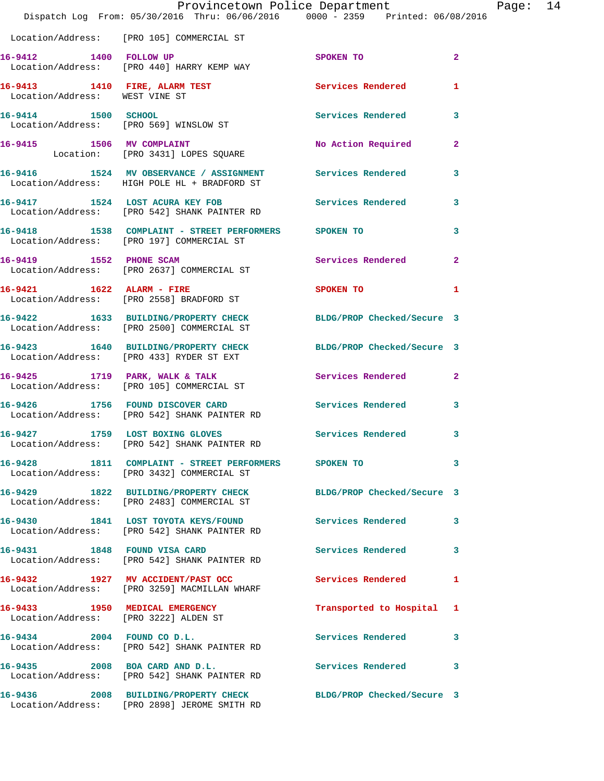|                                | Dispatch Log From: 05/30/2016 Thru: 06/06/2016 0000 - 2359 Printed: 06/08/2016                                | Provincetown Police Department | Page: 14       |  |
|--------------------------------|---------------------------------------------------------------------------------------------------------------|--------------------------------|----------------|--|
|                                | Location/Address: [PRO 105] COMMERCIAL ST                                                                     |                                |                |  |
| 16-9412 1400 FOLLOW UP         | Location/Address: [PRO 440] HARRY KEMP WAY                                                                    | SPOKEN TO                      | $\mathbf{2}$   |  |
| Location/Address: WEST VINE ST | 16-9413 1410 FIRE, ALARM TEST Services Rendered                                                               |                                | 1              |  |
| 16-9414 1500 SCHOOL            | 6-9414 1500 SCHOOL<br>Location/Address: [PRO 569] WINSLOW ST                                                  | Services Rendered              | 3              |  |
|                                | 16-9415 1506 MV COMPLAINT<br>Location: [PRO 3431] LOPES SQUARE                                                | No Action Required             | $\mathbf{2}$   |  |
|                                | 16-9416 1524 MV OBSERVANCE / ASSIGNMENT<br>Location/Address: HIGH POLE HL + BRADFORD ST                       | Services Rendered              | 3              |  |
|                                | 16-9417 1524 LOST ACURA KEY FOB<br>Location/Address: [PRO 542] SHANK PAINTER RD                               | Services Rendered              | 3              |  |
|                                | 16-9418 1538 COMPLAINT - STREET PERFORMERS SPOKEN TO<br>Location/Address: [PRO 197] COMMERCIAL ST             |                                | 3              |  |
|                                | 16-9419 1552 PHONE SCAM<br>Location/Address: [PRO 2637] COMMERCIAL ST                                         | Services Rendered              | $\overline{2}$ |  |
|                                | 16-9421 1622 ALARM - FIRE<br>Location/Address: [PRO 2558] BRADFORD ST                                         | SPOKEN TO                      | 1              |  |
|                                | 16-9422 1633 BUILDING/PROPERTY CHECK BLDG/PROP Checked/Secure 3<br>Location/Address: [PRO 2500] COMMERCIAL ST |                                |                |  |
|                                | 16-9423 1640 BUILDING/PROPERTY CHECK BLDG/PROP Checked/Secure 3<br>Location/Address: [PRO 433] RYDER ST EXT   |                                |                |  |
|                                | 16-9425 1719 PARK, WALK & TALK<br>Location/Address: [PRO 105] COMMERCIAL ST                                   | Services Rendered              | $\mathbf{2}$   |  |
|                                | 16-9426 1756 FOUND DISCOVER CARD Services Rendered<br>Location/Address: [PRO 542] SHANK PAINTER RD            |                                | 3              |  |
| 16-9427                        | 1759 LOST BOXING GLOVES<br>Location/Address: [PRO 542] SHANK PAINTER RD                                       | Services Rendered              | $\mathbf{3}$   |  |
|                                | 16-9428 1811 COMPLAINT - STREET PERFORMERS<br>Location/Address: [PRO 3432] COMMERCIAL ST                      | SPOKEN TO                      | 3              |  |
|                                | 16-9429 1822 BUILDING/PROPERTY CHECK<br>Location/Address: [PRO 2483] COMMERCIAL ST                            | BLDG/PROP Checked/Secure 3     |                |  |
|                                | 16-9430 1841 LOST TOYOTA KEYS/FOUND<br>Location/Address: [PRO 542] SHANK PAINTER RD                           | <b>Services Rendered</b>       | 3              |  |
|                                | 16-9431 1848 FOUND VISA CARD<br>Location/Address: [PRO 542] SHANK PAINTER RD                                  | Services Rendered              | 3              |  |
|                                | 16-9432 1927 MV ACCIDENT/PAST OCC<br>Location/Address: [PRO 3259] MACMILLAN WHARF                             | Services Rendered              | 1              |  |
|                                | 16-9433 1950 MEDICAL EMERGENCY<br>Location/Address: [PRO 3222] ALDEN ST                                       | Transported to Hospital 1      |                |  |
|                                | 16-9434 2004 FOUND CO D.L.<br>Location/Address: [PRO 542] SHANK PAINTER RD                                    | <b>Services Rendered</b>       | 3              |  |
| 16-9435 2008 BOA CARD AND D.L. | Location/Address: [PRO 542] SHANK PAINTER RD                                                                  | Services Rendered              | 3              |  |
|                                | 16-9436 2008 BUILDING/PROPERTY CHECK<br>Location/Address: [PRO 2898] JEROME SMITH RD                          | BLDG/PROP Checked/Secure 3     |                |  |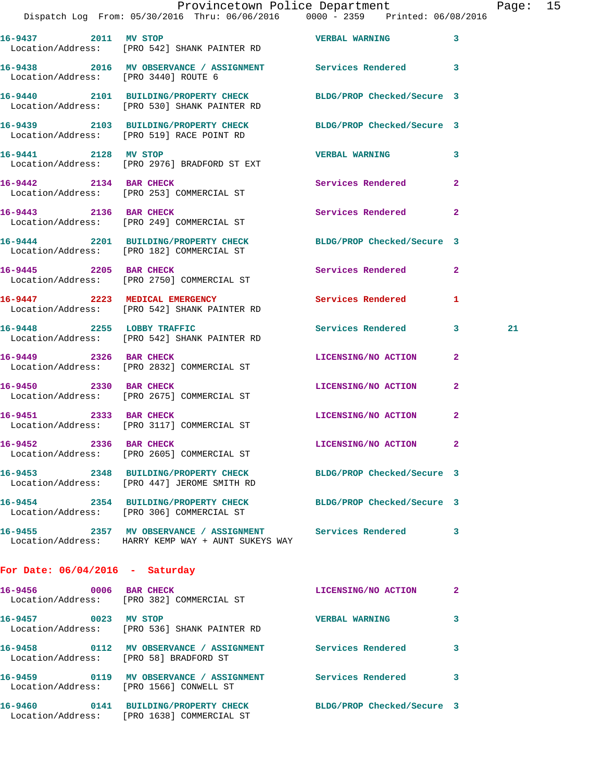| Provincetown Police Department |                                                                                | Page:                 | 15 |  |
|--------------------------------|--------------------------------------------------------------------------------|-----------------------|----|--|
|                                | Dispatch Log From: 05/30/2016 Thru: 06/06/2016 0000 - 2359 Printed: 06/08/2016 |                       |    |  |
| 16-9437 2011 MV STOP           |                                                                                | <b>VERBAL WARNING</b> |    |  |
|                                | Location/Address: [PRO 542] SHANK PAINTER RD                                   |                       |    |  |

**16-9438 2016 MV OBSERVANCE / ASSIGNMENT Services Rendered 3**  Location/Address: [PRO 3440] ROUTE 6 **16-9440 2101 BUILDING/PROPERTY CHECK BLDG/PROP Checked/Secure 3**  Location/Address: [PRO 530] SHANK PAINTER RD

**16-9439 2103 BUILDING/PROPERTY CHECK BLDG/PROP Checked/Secure 3**  Location/Address: [PRO 519] RACE POINT RD

**16-9441 2128 MV STOP VERBAL WARNING 3**  Location/Address: [PRO 2976] BRADFORD ST EXT

**16-9442 2134 BAR CHECK Services Rendered 2**  Location/Address: [PRO 253] COMMERCIAL ST **16-9443 2136 BAR CHECK Services Rendered 2**  Location/Address: [PRO 249] COMMERCIAL ST

**16-9444 2201 BUILDING/PROPERTY CHECK BLDG/PROP Checked/Secure 3**  Location/Address: [PRO 182] COMMERCIAL ST

**16-9445** 2205 BAR CHECK **16-9445 2205** BAR CHECK Location/Address: [PRO 2750] COMMERCIAL ST **16-9447 2223 MEDICAL EMERGENCY Services Rendered 1** 

 Location/Address: [PRO 542] SHANK PAINTER RD **16-9448 2255 LOBBY TRAFFIC Services Rendered 3 21**  Location/Address: [PRO 542] SHANK PAINTER RD

**16-9449 2326 BAR CHECK LICENSING/NO ACTION 2**  Location/Address: [PRO 2832] COMMERCIAL ST

**16-9450 2330 BAR CHECK LICENSING/NO ACTION 2**  Location/Address: [PRO 2675] COMMERCIAL ST **16-9451 2333 BAR CHECK LICENSING/NO ACTION 2**  Location/Address: [PRO 3117] COMMERCIAL ST

**16-9452 2336 BAR CHECK LICENSING/NO ACTION 2**  Location/Address: [PRO 2605] COMMERCIAL ST

**16-9453 2348 BUILDING/PROPERTY CHECK BLDG/PROP Checked/Secure 3**  Location/Address: [PRO 447] JEROME SMITH RD **16-9454 2354 BUILDING/PROPERTY CHECK BLDG/PROP Checked/Secure 3**  Location/Address: [PRO 306] COMMERCIAL ST **16-9455 2357 MV OBSERVANCE / ASSIGNMENT Services Rendered 3** 

**For Date: 06/04/2016 - Saturday**

Location/Address: HARRY KEMP WAY + AUNT SUKEYS WAY

**16-9456 0006 BAR CHECK LICENSING/NO ACTION 2**  Location/Address: [PRO 382] COMMERCIAL ST **16-9457 0023 MV STOP VERBAL WARNING 3**  Location/Address: [PRO 536] SHANK PAINTER RD **16-9458 0112 MV OBSERVANCE / ASSIGNMENT Services Rendered 3**  Location/Address: [PRO 58] BRADFORD ST **16-9459 0119 MV OBSERVANCE / ASSIGNMENT Services Rendered 3**  Location/Address: [PRO 1566] CONWELL ST **16-9460 0141 BUILDING/PROPERTY CHECK BLDG/PROP Checked/Secure 3**  Location/Address: [PRO 1638] COMMERCIAL ST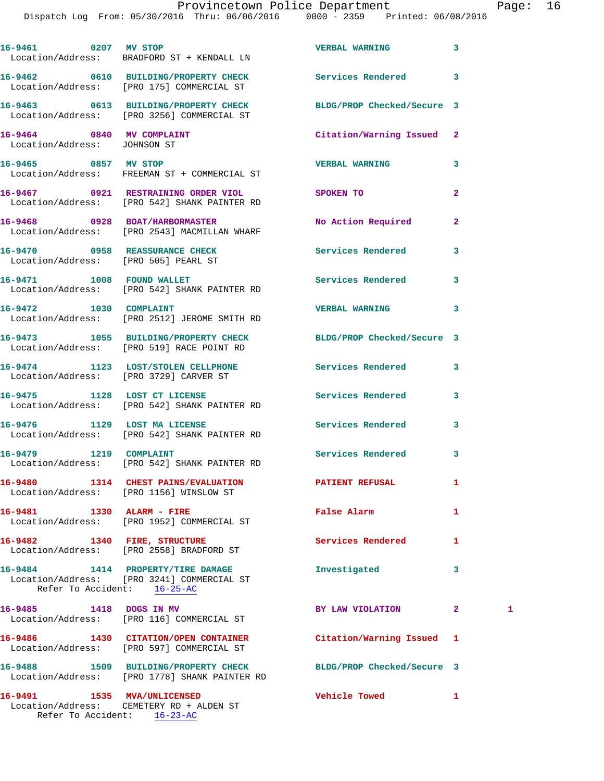| 16-9461 0207 MV STOP                                                   |                                                                                                     | <b>VERBAL WARNING</b>      | 3              |   |
|------------------------------------------------------------------------|-----------------------------------------------------------------------------------------------------|----------------------------|----------------|---|
|                                                                        | Location/Address: BRADFORD ST + KENDALL LN                                                          |                            |                |   |
|                                                                        | 16-9462 0610 BUILDING/PROPERTY CHECK Services Rendered<br>Location/Address: [PRO 175] COMMERCIAL ST |                            | 3              |   |
|                                                                        | 16-9463 0613 BUILDING/PROPERTY CHECK<br>Location/Address: [PRO 3256] COMMERCIAL ST                  | BLDG/PROP Checked/Secure 3 |                |   |
| 16-9464 0840 MV COMPLAINT<br>Location/Address: JOHNSON ST              |                                                                                                     | Citation/Warning Issued 2  |                |   |
| 16-9465 0857 MV STOP                                                   | Location/Address: FREEMAN ST + COMMERCIAL ST                                                        | <b>VERBAL WARNING</b>      | 3              |   |
|                                                                        | 16-9467 0921 RESTRAINING ORDER VIOL<br>Location/Address: [PRO 542] SHANK PAINTER RD                 | SPOKEN TO                  | $\overline{2}$ |   |
|                                                                        | 16-9468 0928 BOAT/HARBORMASTER<br>Location/Address: [PRO 2543] MACMILLAN WHARF                      | No Action Required         | 2              |   |
| 16-9470 0958 REASSURANCE CHECK<br>Location/Address: [PRO 505] PEARL ST |                                                                                                     | Services Rendered          | 3              |   |
|                                                                        | 16-9471 1008 FOUND WALLET<br>Location/Address: [PRO 542] SHANK PAINTER RD                           | <b>Services Rendered</b>   | 3              |   |
|                                                                        | 16-9472 1030 COMPLAINT<br>Location/Address: [PRO 2512] JEROME SMITH RD                              | <b>VERBAL WARNING</b>      | 3              |   |
|                                                                        | 16-9473 1055 BUILDING/PROPERTY CHECK<br>Location/Address: [PRO 519] RACE POINT RD                   | BLDG/PROP Checked/Secure 3 |                |   |
|                                                                        | 16-9474 1123 LOST/STOLEN CELLPHONE<br>Location/Address: [PRO 3729] CARVER ST                        | Services Rendered          | 3              |   |
|                                                                        | 16-9475 1128 LOST CT LICENSE<br>Location/Address: [PRO 542] SHANK PAINTER RD                        | <b>Services Rendered</b>   | 3              |   |
|                                                                        | 16-9476 1129 LOST MA LICENSE<br>Location/Address: [PRO 542] SHANK PAINTER RD                        | <b>Services Rendered</b>   | 3              |   |
| 16-9479 1219 COMPLAINT                                                 | Location/Address: [PRO 542] SHANK PAINTER RD                                                        | <b>Services Rendered</b>   | 3              |   |
| 16-9480                                                                | 1314 CHEST PAINS/EVALUATION<br>Location/Address: [PRO 1156] WINSLOW ST                              | PATIENT REFUSAL            | 1              |   |
| 16-9481 1330 ALARM - FIRE                                              | Location/Address: [PRO 1952] COMMERCIAL ST                                                          | <b>False Alarm</b>         | 1              |   |
| 16-9482 1340 FIRE, STRUCTURE                                           | Location/Address: [PRO 2558] BRADFORD ST                                                            | Services Rendered          | 1              |   |
| Refer To Accident: 16-25-AC                                            | 16-9484 1414 PROPERTY/TIRE DAMAGE<br>Location/Address: [PRO 3241] COMMERCIAL ST                     | Investigated               | 3              |   |
| 16-9485 1418 DOGS IN MV                                                | Location/Address: [PRO 116] COMMERCIAL ST                                                           | BY LAW VIOLATION           | $\mathbf{2}$   | 1 |
|                                                                        | 16-9486 1430 CITATION/OPEN CONTAINER<br>Location/Address: [PRO 597] COMMERCIAL ST                   | Citation/Warning Issued    | 1              |   |
|                                                                        | 16-9488 1509 BUILDING/PROPERTY CHECK<br>Location/Address: [PRO 1778] SHANK PAINTER RD               | BLDG/PROP Checked/Secure 3 |                |   |
| 16-9491 1535 MVA/UNLICENSED                                            | Location/Address: CEMETERY RD + ALDEN ST                                                            | <b>Vehicle Towed</b>       | 1              |   |

Refer To Accident: 16-23-AC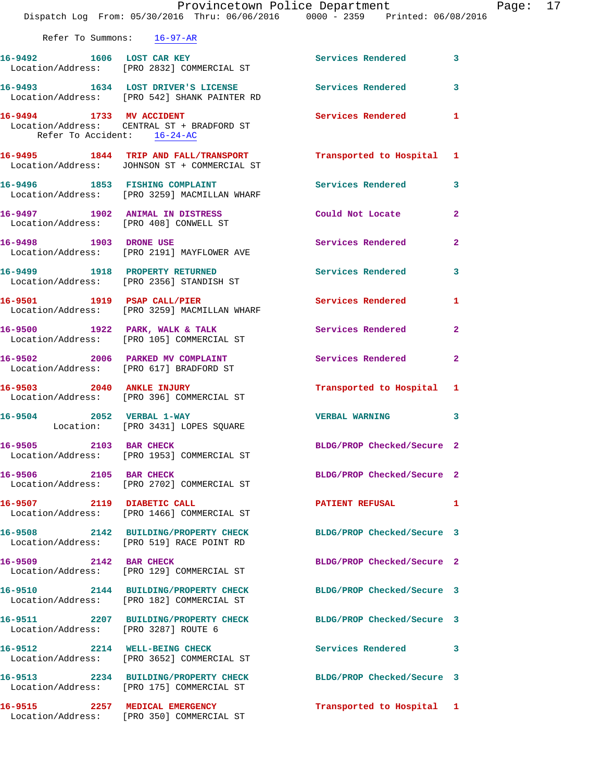|                                        | Provincetown Police Department<br>Dispatch Log From: 05/30/2016 Thru: 06/06/2016 0000 - 2359 Printed: 06/08/2016 |                            | Page: 17       |  |
|----------------------------------------|------------------------------------------------------------------------------------------------------------------|----------------------------|----------------|--|
| Refer To Summons: 16-97-AR             |                                                                                                                  |                            |                |  |
|                                        | 16-9492 1606 LOST CAR KEY Services Rendered<br>Location/Address: [PRO 2832] COMMERCIAL ST                        |                            | $\mathbf{3}$   |  |
|                                        | 16-9493 1634 LOST DRIVER'S LICENSE Services Rendered 3<br>Location/Address: [PRO 542] SHANK PAINTER RD           |                            |                |  |
| Refer To Accident: 16-24-AC            | 16-9494 1733 MV ACCIDENT<br>Location/Address: CENTRAL ST + BRADFORD ST                                           | Services Rendered 1        |                |  |
|                                        | 16-9495 1844 TRIP AND FALL/TRANSPORT Transported to Hospital 1<br>Location/Address: JOHNSON ST + COMMERCIAL ST   |                            |                |  |
|                                        | 16-9496 1853 FISHING COMPLAINT<br>Location/Address: [PRO 3259] MACMILLAN WHARF                                   | Services Rendered 3        |                |  |
| Location/Address: [PRO 408] CONWELL ST | 16-9497 1902 ANIMAL IN DISTRESS                                                                                  | Could Not Locate           | $\mathbf{2}$   |  |
|                                        | 16-9498 1903 DRONE USE<br>Location/Address: [PRO 2191] MAYFLOWER AVE                                             | Services Rendered          | $\overline{2}$ |  |
|                                        | 16-9499 1918 PROPERTY RETURNED<br>Location/Address: [PRO 2356] STANDISH ST                                       | <b>Services Rendered</b>   | 3              |  |
|                                        | 16-9501 1919 PSAP CALL/PIER<br>Location/Address: [PRO 3259] MACMILLAN WHARF                                      | Services Rendered 1        |                |  |
|                                        | 16-9500 1922 PARK, WALK & TALK 1988 Services Rendered<br>Location/Address: [PRO 105] COMMERCIAL ST               |                            | 2              |  |
|                                        | 16-9502 2006 PARKED MV COMPLAINT<br>Location/Address: [PRO 617] BRADFORD ST                                      | Services Rendered          | $\mathbf{2}$   |  |
|                                        | 16-9503 2040 ANKLE INJURY<br>Location/Address: [PRO 396] COMMERCIAL ST                                           | Transported to Hospital 1  |                |  |
|                                        | 16-9504 2052 VERBAL 1-WAY<br>Location: [PRO 3431] LOPES SQUARE                                                   | <b>VERBAL WARNING</b>      | 3              |  |
| 16-9505 2103 BAR CHECK                 | Location/Address: [PRO 1953] COMMERCIAL ST                                                                       | BLDG/PROP Checked/Secure 2 |                |  |
| 16-9506 2105 BAR CHECK                 | Location/Address: [PRO 2702] COMMERCIAL ST                                                                       | BLDG/PROP Checked/Secure 2 |                |  |
|                                        | 16-9507 2119 DIABETIC CALL<br>Location/Address: [PRO 1466] COMMERCIAL ST                                         | <b>PATIENT REFUSAL</b>     | 1              |  |
|                                        | 16-9508 2142 BUILDING/PROPERTY CHECK BLDG/PROP Checked/Secure 3<br>Location/Address: [PRO 519] RACE POINT RD     |                            |                |  |
|                                        | 16-9509 2142 BAR CHECK<br>Location/Address: [PRO 129] COMMERCIAL ST                                              | BLDG/PROP Checked/Secure 2 |                |  |
|                                        | 16-9510 2144 BUILDING/PROPERTY CHECK BLDG/PROP Checked/Secure 3<br>Location/Address: [PRO 182] COMMERCIAL ST     |                            |                |  |
| Location/Address: [PRO 3287] ROUTE 6   | 16-9511 2207 BUILDING/PROPERTY CHECK BLDG/PROP Checked/Secure 3                                                  |                            |                |  |
|                                        | 16-9512 2214 WELL-BEING CHECK<br>Location/Address: [PRO 3652] COMMERCIAL ST                                      | Services Rendered 3        |                |  |
|                                        | 16-9513 2234 BUILDING/PROPERTY CHECK<br>Location/Address: [PRO 175] COMMERCIAL ST                                | BLDG/PROP Checked/Secure 3 |                |  |
|                                        | 16-9515 2257 MEDICAL EMERGENCY<br>Location/Address: [PRO 350] COMMERCIAL ST                                      | Transported to Hospital 1  |                |  |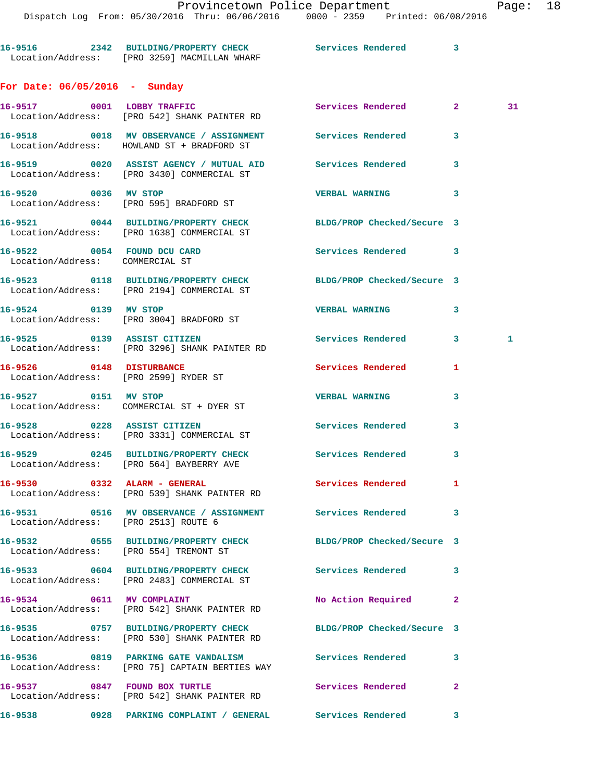Dispatch Log From: 05/30/2016 Thru: 06/06/2016 0000 - 2359 Printed: 06/08/2016 **16-9516 2342 BUILDING/PROPERTY CHECK Services Rendered 3**  Location/Address: [PRO 3259] MACMILLAN WHARF **For Date: 06/05/2016 - Sunday 16-9517 0001 LOBBY TRAFFIC Services Rendered 2 31**  Location/Address: [PRO 542] SHANK PAINTER RD **16-9518 0018 MV OBSERVANCE / ASSIGNMENT Services Rendered 3**  Location/Address: HOWLAND ST + BRADFORD ST **16-9519 0020 ASSIST AGENCY / MUTUAL AID Services Rendered 3**  Location/Address: [PRO 3430] COMMERCIAL ST **16-9520 0036 MV STOP VERBAL WARNING 3**  Location/Address: [PRO 595] BRADFORD ST **16-9521 0044 BUILDING/PROPERTY CHECK BLDG/PROP Checked/Secure 3**  Location/Address: [PRO 1638] COMMERCIAL ST **16-9522 0054 FOUND DCU CARD Services Rendered 3**  Location/Address: COMMERCIAL ST **16-9523 0118 BUILDING/PROPERTY CHECK BLDG/PROP Checked/Secure 3**  Location/Address: [PRO 2194] COMMERCIAL ST **16-9524 0139 MV STOP VERBAL WARNING 3**  Location/Address: [PRO 3004] BRADFORD ST **16-9525 0139 ASSIST CITIZEN Services Rendered 3 1**  Location/Address: [PRO 3296] SHANK PAINTER RD **16-9526 0148 DISTURBANCE Services Rendered 1**  Location/Address: [PRO 2599] RYDER ST **16-9527 0151 MV STOP VERBAL WARNING 3**  Location/Address: COMMERCIAL ST + DYER ST **16-9528 0228 ASSIST CITIZEN Services Rendered 3**  Location/Address: [PRO 3331] COMMERCIAL ST **16-9529 0245 BUILDING/PROPERTY CHECK Services Rendered 3**  Location/Address: [PRO 564] BAYBERRY AVE **16-9530 0332 ALARM - GENERAL Services Rendered 1**  Location/Address: [PRO 539] SHANK PAINTER RD **16-9531 0516 MV OBSERVANCE / ASSIGNMENT Services Rendered 3**  Location/Address: [PRO 2513] ROUTE 6 **16-9532 0555 BUILDING/PROPERTY CHECK BLDG/PROP Checked/Secure 3**  Location/Address: [PRO 554] TREMONT ST **16-9533 0604 BUILDING/PROPERTY CHECK Services Rendered 3**  Location/Address: [PRO 2483] COMMERCIAL ST **16-9534 0611 MV COMPLAINT No Action Required 2**  Location/Address: [PRO 542] SHANK PAINTER RD **16-9535 0757 BUILDING/PROPERTY CHECK BLDG/PROP Checked/Secure 3**  Location/Address: [PRO 530] SHANK PAINTER RD **16-9536 0819 PARKING GATE VANDALISM Services Rendered 3**  Location/Address: [PRO 75] CAPTAIN BERTIES WAY **16-9537 0847 FOUND BOX TURTLE Services Rendered 2**  Location/Address: [PRO 542] SHANK PAINTER RD

**16-9538 0928 PARKING COMPLAINT / GENERAL Services Rendered 3**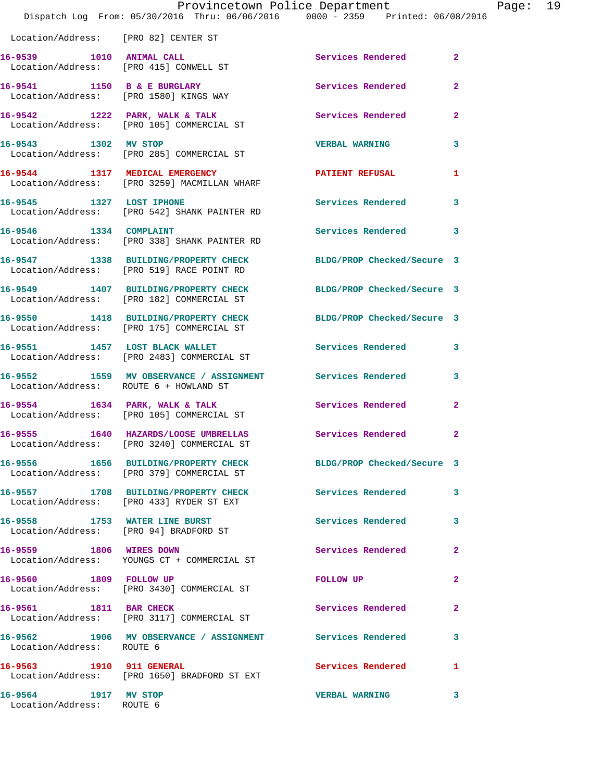|                                                   | Dispatch Log From: 05/30/2016 Thru: 06/06/2016   0000 - 2359   Printed: 06/08/2016                           | Provincetown Police Department | Page: 19       |  |
|---------------------------------------------------|--------------------------------------------------------------------------------------------------------------|--------------------------------|----------------|--|
| Location/Address: [PRO 82] CENTER ST              |                                                                                                              |                                |                |  |
|                                                   | 16-9539 1010 ANIMAL CALL<br>Location/Address: [PRO 415] CONWELL ST                                           | Services Rendered 2            |                |  |
|                                                   | 16-9541 1150 B & E BURGLARY<br>Location/Address: [PRO 1580] KINGS WAY                                        | Services Rendered 2            |                |  |
|                                                   | 16-9542 1222 PARK, WALK & TALK 1988 Services Rendered 2<br>Location/Address: [PRO 105] COMMERCIAL ST         |                                |                |  |
| 16-9543 1302 MV STOP                              | Location/Address: [PRO 285] COMMERCIAL ST                                                                    | VERBAL WARNING 3               |                |  |
|                                                   | 16-9544 1317 MEDICAL EMERGENCY<br>Location/Address: [PRO 3259] MACMILLAN WHARF                               | PATIENT REFUSAL                | 1              |  |
| 16-9545 1327 LOST IPHONE                          | Location/Address: [PRO 542] SHANK PAINTER RD                                                                 | Services Rendered 3            |                |  |
|                                                   | 16-9546 1334 COMPLAINT<br>Location/Address: [PRO 338] SHANK PAINTER RD                                       | Services Rendered 3            |                |  |
|                                                   | 16-9547 1338 BUILDING/PROPERTY CHECK BLDG/PROP Checked/Secure 3<br>Location/Address: [PRO 519] RACE POINT RD |                                |                |  |
|                                                   | 16-9549 1407 BUILDING/PROPERTY CHECK BLDG/PROP Checked/Secure 3<br>Location/Address: [PRO 182] COMMERCIAL ST |                                |                |  |
|                                                   | 16-9550 1418 BUILDING/PROPERTY CHECK BLDG/PROP Checked/Secure 3<br>Location/Address: [PRO 175] COMMERCIAL ST |                                |                |  |
|                                                   | 16-9551 1457 LOST BLACK WALLET<br>Location/Address: [PRO 2483] COMMERCIAL ST                                 | Services Rendered 3            |                |  |
| Location/Address: ROUTE 6 + HOWLAND ST            | 16-9552 1559 MV OBSERVANCE / ASSIGNMENT Services Rendered 3                                                  |                                |                |  |
|                                                   | 16-9554 1634 PARK, WALK & TALK 1999 Services Rendered 2<br>Location/Address: [PRO 105] COMMERCIAL ST         |                                |                |  |
|                                                   | 16-9555 1640 HAZARDS/LOOSE UMBRELLAS Services Rendered 2<br>Location/Address: [PRO 3240] COMMERCIAL ST       |                                |                |  |
|                                                   | 16-9556 1656 BUILDING/PROPERTY CHECK<br>Location/Address: [PRO 379] COMMERCIAL ST                            | BLDG/PROP Checked/Secure 3     |                |  |
|                                                   | 16-9557 1708 BUILDING/PROPERTY CHECK Services Rendered 3<br>Location/Address: [PRO 433] RYDER ST EXT         |                                |                |  |
|                                                   | 16-9558 1753 WATER LINE BURST<br>Location/Address: [PRO 94] BRADFORD ST                                      | <b>Services Rendered</b>       | 3              |  |
| 16-9559 1806 WIRES DOWN                           | Location/Address: YOUNGS CT + COMMERCIAL ST                                                                  | Services Rendered              | $\mathbf{2}$   |  |
| 16-9560 1809 FOLLOW UP                            | Location/Address: [PRO 3430] COMMERCIAL ST                                                                   | <b>FOLLOW UP</b>               | 2              |  |
| 16-9561 1811 BAR CHECK                            | Location/Address: [PRO 3117] COMMERCIAL ST                                                                   | Services Rendered              | $\overline{2}$ |  |
| Location/Address: ROUTE 6                         | 16-9562 1906 MV OBSERVANCE / ASSIGNMENT Services Rendered 3                                                  |                                |                |  |
|                                                   | 16-9563 1910 911 GENERAL<br>Location/Address: [PRO 1650] BRADFORD ST EXT                                     | Services Rendered              | 1              |  |
| 16-9564 1917 MV STOP<br>Location/Address: ROUTE 6 |                                                                                                              | <b>VERBAL WARNING</b>          | $\mathbf{3}$   |  |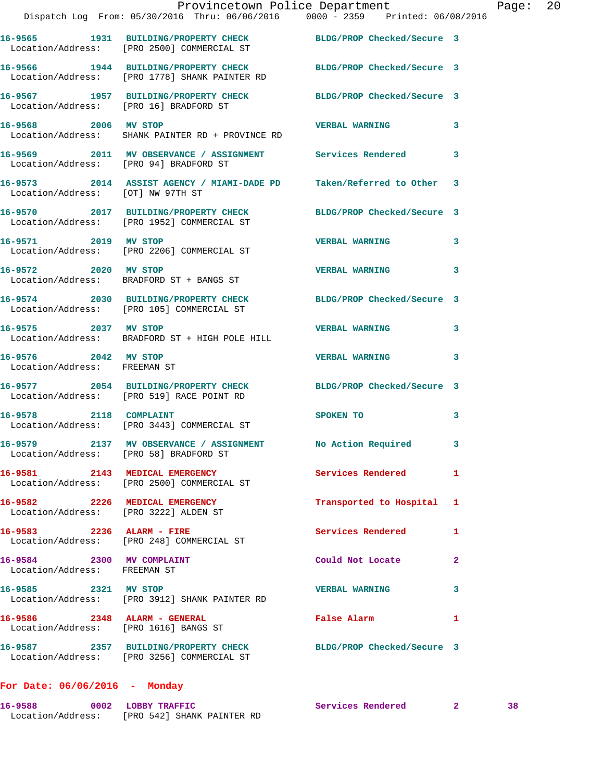|                                                           | Provincetown Police Department<br>Dispatch Log From: 05/30/2016 Thru: 06/06/2016 0000 - 2359 Printed: 06/08/2016 |                           |   | Page: 20 |  |
|-----------------------------------------------------------|------------------------------------------------------------------------------------------------------------------|---------------------------|---|----------|--|
|                                                           | 16-9565 1931 BUILDING/PROPERTY CHECK BLDG/PROP Checked/Secure 3<br>Location/Address: [PRO 2500] COMMERCIAL ST    |                           |   |          |  |
|                                                           | 16-9566 1944 BUILDING/PROPERTY CHECK BLDG/PROP Checked/Secure 3<br>Location/Address: [PRO 1778] SHANK PAINTER RD |                           |   |          |  |
| Location/Address: [PRO 16] BRADFORD ST                    | 16-9567 1957 BUILDING/PROPERTY CHECK BLDG/PROP Checked/Secure 3                                                  |                           |   |          |  |
| 16-9568 2006 MV STOP                                      | Location/Address: SHANK PAINTER RD + PROVINCE RD                                                                 | VERBAL WARNING 3          |   |          |  |
| Location/Address: [PRO 94] BRADFORD ST                    | 16-9569 2011 MV OBSERVANCE / ASSIGNMENT Services Rendered                                                        |                           | 3 |          |  |
| Location/Address: [OT] NW 97TH ST                         | 16-9573 2014 ASSIST AGENCY / MIAMI-DADE PD Taken/Referred to Other 3                                             |                           |   |          |  |
|                                                           | 16-9570 2017 BUILDING/PROPERTY CHECK BLDG/PROP Checked/Secure 3<br>Location/Address: [PRO 1952] COMMERCIAL ST    |                           |   |          |  |
| 16-9571 2019 MV STOP                                      | Location/Address: [PRO 2206] COMMERCIAL ST                                                                       | <b>VERBAL WARNING 3</b>   |   |          |  |
|                                                           | 16-9572 2020 MV STOP<br>Location/Address: BRADFORD ST + BANGS ST                                                 | <b>VERBAL WARNING</b>     | 3 |          |  |
|                                                           | 16-9574 2030 BUILDING/PROPERTY CHECK BLDG/PROP Checked/Secure 3<br>Location/Address: [PRO 105] COMMERCIAL ST     |                           |   |          |  |
|                                                           | 16-9575 2037 MV STOP<br>Location/Address: BRADFORD ST + HIGH POLE HILL                                           | <b>VERBAL WARNING</b>     | 3 |          |  |
| 16-9576 2042 MV STOP<br>Location/Address: FREEMAN ST      |                                                                                                                  | <b>VERBAL WARNING</b>     | 3 |          |  |
|                                                           | 16-9577 2054 BUILDING/PROPERTY CHECK BLDG/PROP Checked/Secure 3<br>Location/Address: [PRO 519] RACE POINT RD     |                           |   |          |  |
|                                                           | 16-9578 2118 COMPLAINT<br>Location/Address: [PRO 3443] COMMERCIAL ST                                             | SPOKEN TO                 | 3 |          |  |
| Location/Address: [PRO 58] BRADFORD ST                    | 16-9579 2137 MV OBSERVANCE / ASSIGNMENT                                                                          | No Action Required        | 3 |          |  |
|                                                           | 16-9581 2143 MEDICAL EMERGENCY<br>Location/Address: [PRO 2500] COMMERCIAL ST                                     | Services Rendered 1       |   |          |  |
|                                                           | 16-9582 2226 MEDICAL EMERGENCY<br>Location/Address: [PRO 3222] ALDEN ST                                          | Transported to Hospital 1 |   |          |  |
| 16-9583 2236 ALARM - FIRE                                 | Location/Address: [PRO 248] COMMERCIAL ST                                                                        | Services Rendered         | 1 |          |  |
| 16-9584 2300 MV COMPLAINT<br>Location/Address: FREEMAN ST |                                                                                                                  | Could Not Locate          | 2 |          |  |
| 16-9585 2321 MV STOP                                      | Location/Address: [PRO 3912] SHANK PAINTER RD                                                                    | <b>VERBAL WARNING</b>     | 3 |          |  |
| 16-9586 2348 ALARM - GENERAL                              | Location/Address: [PRO 1616] BANGS ST                                                                            | False Alarm               | 1 |          |  |
|                                                           | 16-9587 2357 BUILDING/PROPERTY CHECK BLDG/PROP Checked/Secure 3<br>Location/Address: [PRO 3256] COMMERCIAL ST    |                           |   |          |  |

## **For Date: 06/06/2016 - Monday**

| 16-9588           | 0002 LOBBY TRAFFIC         | Services Rendered |  |
|-------------------|----------------------------|-------------------|--|
| Location/Address: | [PRO 542] SHANK PAINTER RD |                   |  |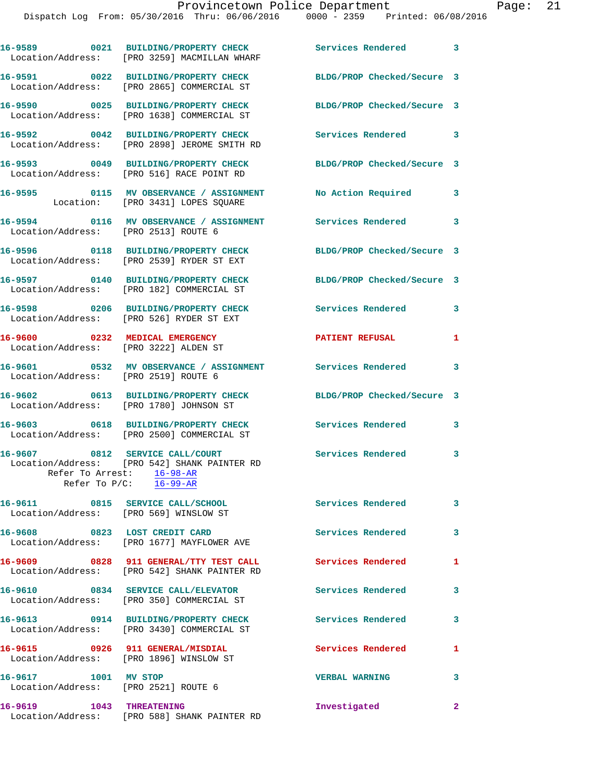Dispatch Log From: 05/30/2016 Thru: 06/06/2016 0000 - 2359 Printed: 06/08/2016 **16-9589 0021 BUILDING/PROPERTY CHECK Services Rendered 3**  Location/Address: [PRO 3259] MACMILLAN WHARF **16-9591 0022 BUILDING/PROPERTY CHECK BLDG/PROP Checked/Secure 3**  Location/Address: [PRO 2865] COMMERCIAL ST **16-9590 0025 BUILDING/PROPERTY CHECK BLDG/PROP Checked/Secure 3**  Location/Address: [PRO 1638] COMMERCIAL ST **16-9592 0042 BUILDING/PROPERTY CHECK Services Rendered 3**  Location/Address: [PRO 2898] JEROME SMITH RD **16-9593 0049 BUILDING/PROPERTY CHECK BLDG/PROP Checked/Secure 3**  Location/Address: [PRO 516] RACE POINT RD **16-9595 0115 MV OBSERVANCE / ASSIGNMENT No Action Required 3**  Location: [PRO 3431] LOPES SQUARE **16-9594 0116 MV OBSERVANCE / ASSIGNMENT Services Rendered 3**  Location/Address: [PRO 2513] ROUTE 6 **16-9596 0118 BUILDING/PROPERTY CHECK BLDG/PROP Checked/Secure 3**  Location/Address: [PRO 2539] RYDER ST EXT **16-9597 0140 BUILDING/PROPERTY CHECK BLDG/PROP Checked/Secure 3**  Location/Address: [PRO 182] COMMERCIAL ST **16-9598 0206 BUILDING/PROPERTY CHECK Services Rendered 3**  Location/Address: [PRO 526] RYDER ST EXT **16-9600 0232 MEDICAL EMERGENCY PATIENT REFUSAL 1**  Location/Address: [PRO 3222] ALDEN ST **16-9601 0532 MV OBSERVANCE / ASSIGNMENT Services Rendered 3**  Location/Address: [PRO 2519] ROUTE 6 **16-9602 0613 BUILDING/PROPERTY CHECK BLDG/PROP Checked/Secure 3**  Location/Address: [PRO 1780] JOHNSON ST **16-9603 0618 BUILDING/PROPERTY CHECK Services Rendered 3**  Location/Address: [PRO 2500] COMMERCIAL ST **16-9607 0812 SERVICE CALL/COURT Services Rendered 3**  Location/Address: [PRO 542] SHANK PAINTER RD Refer To Arrest: 16-98-AR Refer To P/C: 16-99-AR **16-9611 0815 SERVICE CALL/SCHOOL Services Rendered 3**  Location/Address: [PRO 569] WINSLOW ST **16-9608 0823 LOST CREDIT CARD Services Rendered 3**  Location/Address: [PRO 1677] MAYFLOWER AVE

**16-9609 0828 911 GENERAL/TTY TEST CALL Services Rendered 1**  Location/Address: [PRO 542] SHANK PAINTER RD **16-9610 0834 SERVICE CALL/ELEVATOR Services Rendered 3**  Location/Address: [PRO 350] COMMERCIAL ST

Location/Address: [PRO 3430] COMMERCIAL ST

Location/Address: [PRO 1896] WINSLOW ST

Location/Address: [PRO 2521] ROUTE 6

**16-9619 1043 THREATENING Investigated 2**  Location/Address: [PRO 588] SHANK PAINTER RD

**16-9613 0914 BUILDING/PROPERTY CHECK Services Rendered 3 16-9615 0926 911 GENERAL/MISDIAL Services Rendered 1** 

**16-9617 1001 MV STOP VERBAL WARNING 3**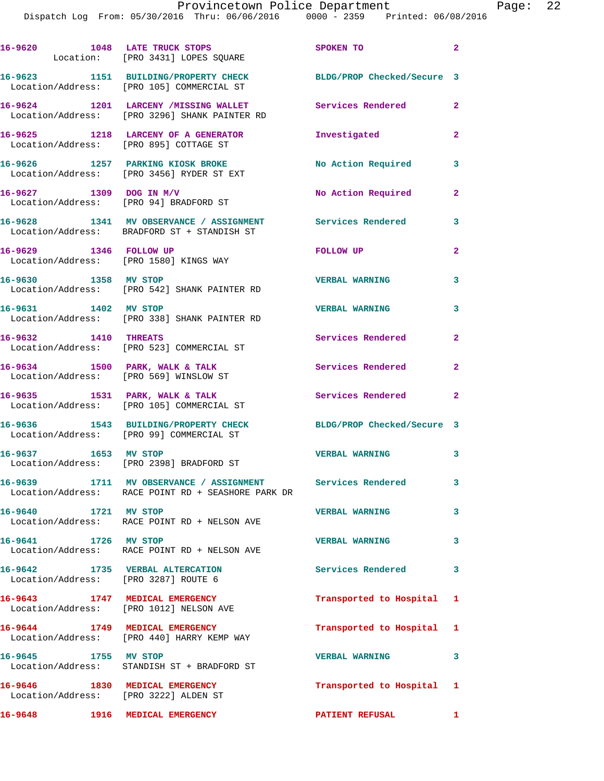|                                                                         | 16-9620 1048 LATE TRUCK STOPS<br>Location: [PRO 3431] LOPES SQUARE                                              | SPOKEN TO                  | $\overline{2}$ |
|-------------------------------------------------------------------------|-----------------------------------------------------------------------------------------------------------------|----------------------------|----------------|
|                                                                         | 16-9623 1151 BUILDING/PROPERTY CHECK<br>Location/Address: [PRO 105] COMMERCIAL ST                               | BLDG/PROP Checked/Secure 3 |                |
|                                                                         | 16-9624 1201 LARCENY /MISSING WALLET<br>Location/Address: [PRO 3296] SHANK PAINTER RD                           | Services Rendered          | $\mathbf{2}$   |
| Location/Address: [PRO 895] COTTAGE ST                                  | 16-9625 1218 LARCENY OF A GENERATOR                                                                             | Investigated               | $\mathbf{2}$   |
|                                                                         | 16-9626 1257 PARKING KIOSK BROKE<br>Location/Address: [PRO 3456] RYDER ST EXT                                   | No Action Required         | 3              |
| 16-9627 1309 DOG IN M/V                                                 | Location/Address: [PRO 94] BRADFORD ST                                                                          | No Action Required         | $\mathbf{2}$   |
|                                                                         | 16-9628 1341 MV OBSERVANCE / ASSIGNMENT Services Rendered<br>Location/Address: BRADFORD ST + STANDISH ST        |                            | 3              |
| 16-9629 1346 FOLLOW UP                                                  | Location/Address: [PRO 1580] KINGS WAY                                                                          | FOLLOW UP                  | $\mathbf{2}$   |
| 16-9630 1358 MV STOP                                                    | Location/Address: [PRO 542] SHANK PAINTER RD                                                                    | <b>VERBAL WARNING</b>      | 3              |
| 16-9631 1402 MV STOP                                                    | Location/Address: [PRO 338] SHANK PAINTER RD                                                                    | <b>VERBAL WARNING</b>      | 3              |
| 16-9632 1410 THREATS                                                    | Location/Address: [PRO 523] COMMERCIAL ST                                                                       | Services Rendered          | $\mathbf{2}$   |
| Location/Address: [PRO 569] WINSLOW ST                                  | 16-9634 1500 PARK, WALK & TALK                                                                                  | Services Rendered          | $\mathbf{2}$   |
|                                                                         | 16-9635 1531 PARK, WALK & TALK<br>Location/Address: [PRO 105] COMMERCIAL ST                                     | Services Rendered 2        |                |
|                                                                         | 16-9636 1543 BUILDING/PROPERTY CHECK<br>Location/Address: [PRO 99] COMMERCIAL ST                                | BLDG/PROP Checked/Secure 3 |                |
| 16-9637 1653 MV STOP                                                    | Location/Address: [PRO 2398] BRADFORD ST                                                                        | <b>VERBAL WARNING</b>      | 3              |
|                                                                         | 16-9639 1711 MV OBSERVANCE / ASSIGNMENT Services Rendered<br>Location/Address: RACE POINT RD + SEASHORE PARK DR |                            | 3              |
| 16-9640 1721 MV STOP                                                    | Location/Address: RACE POINT RD + NELSON AVE                                                                    | <b>VERBAL WARNING</b>      | 3              |
| 16-9641 1726 MV STOP                                                    | Location/Address: RACE POINT RD + NELSON AVE                                                                    | <b>VERBAL WARNING</b>      | 3              |
| 16-9642 1735 VERBAL ALTERCATION                                         | Location/Address: [PRO 3287] ROUTE 6                                                                            | Services Rendered 3        |                |
|                                                                         | 16-9643 1747 MEDICAL EMERGENCY<br>Location/Address: [PRO 1012] NELSON AVE                                       | Transported to Hospital 1  |                |
|                                                                         | 16-9644 1749 MEDICAL EMERGENCY<br>Location/Address: [PRO 440] HARRY KEMP WAY                                    | Transported to Hospital 1  |                |
| 16-9645 1755 MV STOP                                                    | Location/Address: STANDISH ST + BRADFORD ST                                                                     | <b>VERBAL WARNING</b>      | 3              |
| 16-9646 1830 MEDICAL EMERGENCY<br>Location/Address: [PRO 3222] ALDEN ST |                                                                                                                 | Transported to Hospital 1  |                |
| 16-9648 1916 MEDICAL EMERGENCY                                          |                                                                                                                 | PATIENT REFUSAL 1          |                |